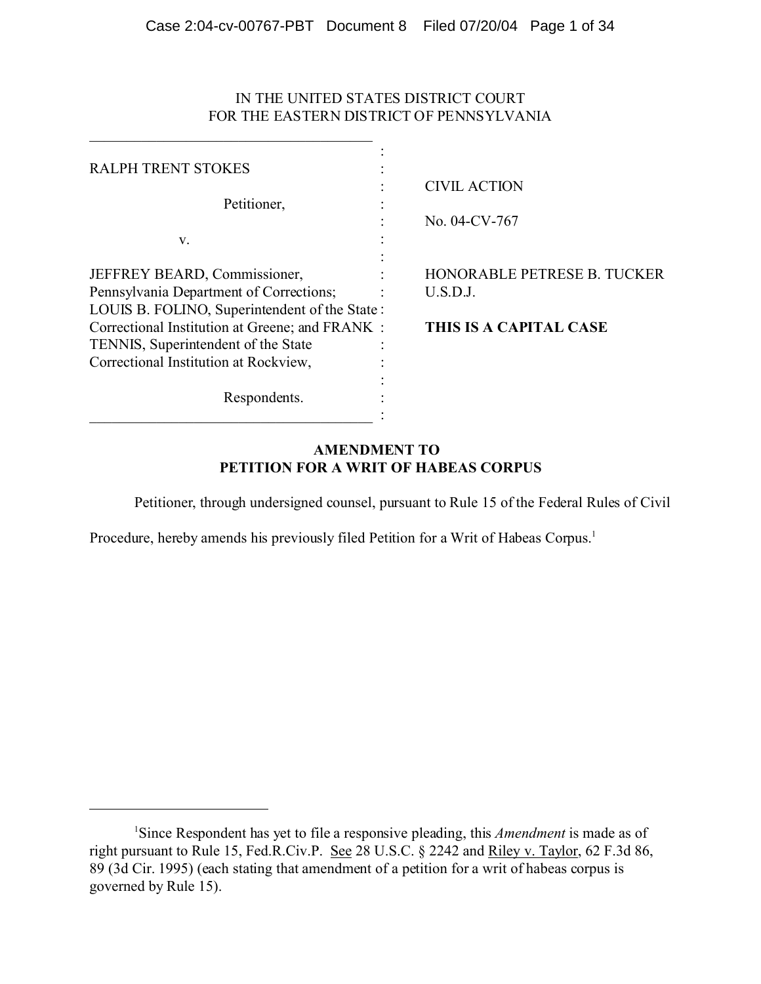# IN THE UNITED STATES DISTRICT COURT FOR THE EASTERN DISTRICT OF PENNSYLVANIA

 $\_$  . The set of the set of the set of the set of the set of the set of the set of the set of the set of the set of the set of the set of the set of the set of the set of the set of the set of the set of the set of the se

| <b>RALPH TRENT STOKES</b>                                                                                                      |                                         |
|--------------------------------------------------------------------------------------------------------------------------------|-----------------------------------------|
| Petitioner,                                                                                                                    | <b>CIVIL ACTION</b><br>No. 04-CV-767    |
| V.                                                                                                                             |                                         |
| JEFFREY BEARD, Commissioner,<br>Pennsylvania Department of Corrections;<br>LOUIS B. FOLINO, Superintendent of the State:       | HONORABLE PETRESE B. TUCKER<br>U.S.D.J. |
| Correctional Institution at Greene; and FRANK:<br>TENNIS, Superintendent of the State<br>Correctional Institution at Rockview, | THIS IS A CAPITAL CASE                  |
| Respondents.                                                                                                                   |                                         |

# **AMENDMENT TO PETITION FOR A WRIT OF HABEAS CORPUS**

Petitioner, through undersigned counsel, pursuant to Rule 15 of the Federal Rules of Civil

Procedure, hereby amends his previously filed Petition for a Writ of Habeas Corpus.<sup>1</sup>

<sup>&</sup>lt;sup>1</sup>Since Respondent has yet to file a responsive pleading, this *Amendment* is made as of right pursuant to Rule 15, Fed.R.Civ.P. See 28 U.S.C. § 2242 and Riley v. Taylor, 62 F.3d 86, 89 (3d Cir. 1995) (each stating that amendment of a petition for a writ of habeas corpus is governed by Rule 15).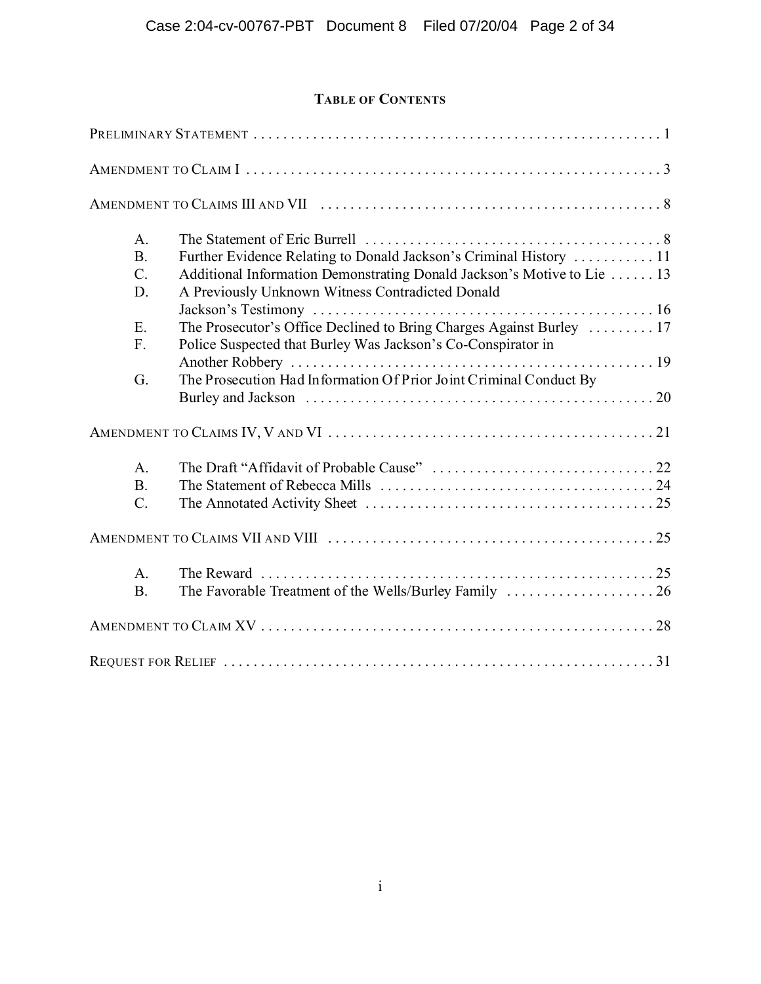# **TABLE OF CONTENTS**

| A.              |                                                                        |
|-----------------|------------------------------------------------------------------------|
| B.              | Further Evidence Relating to Donald Jackson's Criminal History  11     |
| $\mathcal{C}$ . | Additional Information Demonstrating Donald Jackson's Motive to Lie 13 |
| D.              | A Previously Unknown Witness Contradicted Donald                       |
|                 |                                                                        |
| E.              | The Prosecutor's Office Declined to Bring Charges Against Burley  17   |
| F.              | Police Suspected that Burley Was Jackson's Co-Conspirator in           |
|                 |                                                                        |
| G.              | The Prosecution Had Information Of Prior Joint Criminal Conduct By     |
|                 |                                                                        |
|                 |                                                                        |
| $\mathbf{A}$ .  |                                                                        |
| B.              |                                                                        |
| $\mathcal{C}$ . |                                                                        |
|                 |                                                                        |
| A <sub>1</sub>  |                                                                        |
| B.              |                                                                        |
|                 |                                                                        |
|                 |                                                                        |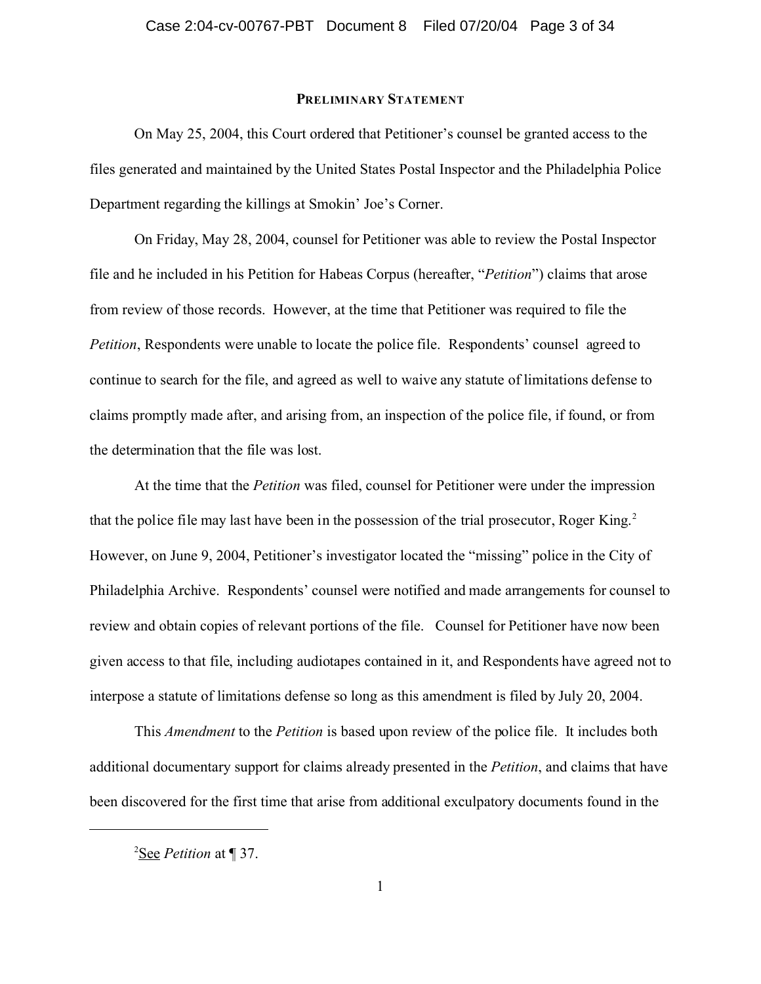### **PRELIMINARY STATEMENT**

On May 25, 2004, this Court ordered that Petitioner's counsel be granted access to the files generated and maintained by the United States Postal Inspector and the Philadelphia Police Department regarding the killings at Smokin' Joe's Corner.

On Friday, May 28, 2004, counsel for Petitioner was able to review the Postal Inspector file and he included in his Petition for Habeas Corpus (hereafter, "*Petition*") claims that arose from review of those records. However, at the time that Petitioner was required to file the *Petition*, Respondents were unable to locate the police file. Respondents' counsel agreed to continue to search for the file, and agreed as well to waive any statute of limitations defense to claims promptly made after, and arising from, an inspection of the police file, if found, or from the determination that the file was lost.

At the time that the *Petition* was filed, counsel for Petitioner were under the impression that the police file may last have been in the possession of the trial prosecutor, Roger King.<sup>2</sup> However, on June 9, 2004, Petitioner's investigator located the "missing" police in the City of Philadelphia Archive. Respondents' counsel were notified and made arrangements for counsel to review and obtain copies of relevant portions of the file. Counsel for Petitioner have now been given access to that file, including audiotapes contained in it, and Respondents have agreed not to interpose a statute of limitations defense so long as this amendment is filed by July 20, 2004.

This *Amendment* to the *Petition* is based upon review of the police file. It includes both additional documentary support for claims already presented in the *Petition*, and claims that have been discovered for the first time that arise from additional exculpatory documents found in the

<sup>2</sup>See *Petition* at ¶ 37.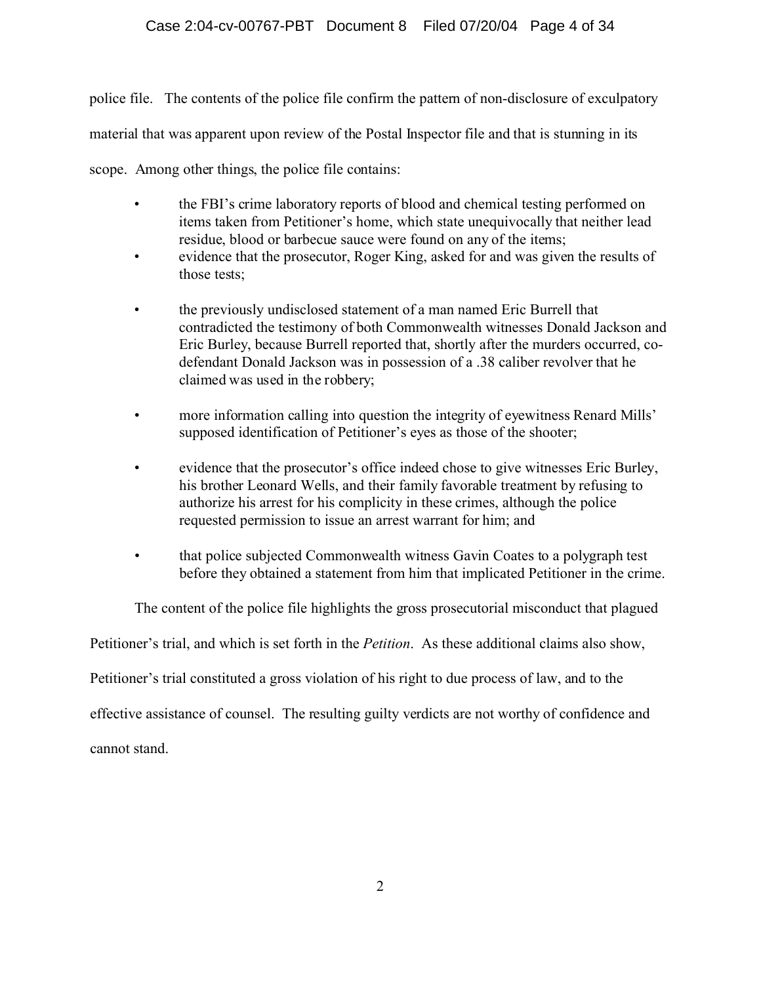# Case 2:04-cv-00767-PBT Document 8 Filed 07/20/04 Page 4 of 34

police file. The contents of the police file confirm the pattern of non-disclosure of exculpatory material that was apparent upon review of the Postal Inspector file and that is stunning in its

scope. Among other things, the police file contains:

- the FBI's crime laboratory reports of blood and chemical testing performed on items taken from Petitioner's home, which state unequivocally that neither lead residue, blood or barbecue sauce were found on any of the items;
- evidence that the prosecutor, Roger King, asked for and was given the results of those tests;
- the previously undisclosed statement of a man named Eric Burrell that contradicted the testimony of both Commonwealth witnesses Donald Jackson and Eric Burley, because Burrell reported that, shortly after the murders occurred, codefendant Donald Jackson was in possession of a .38 caliber revolver that he claimed was used in the robbery;
- more information calling into question the integrity of eyewitness Renard Mills' supposed identification of Petitioner's eyes as those of the shooter;
- evidence that the prosecutor's office indeed chose to give witnesses Eric Burley, his brother Leonard Wells, and their family favorable treatment by refusing to authorize his arrest for his complicity in these crimes, although the police requested permission to issue an arrest warrant for him; and
- that police subjected Commonwealth witness Gavin Coates to a polygraph test before they obtained a statement from him that implicated Petitioner in the crime.

The content of the police file highlights the gross prosecutorial misconduct that plagued

Petitioner's trial, and which is set forth in the *Petition*. As these additional claims also show,

Petitioner's trial constituted a gross violation of his right to due process of law, and to the

effective assistance of counsel. The resulting guilty verdicts are not worthy of confidence and

cannot stand.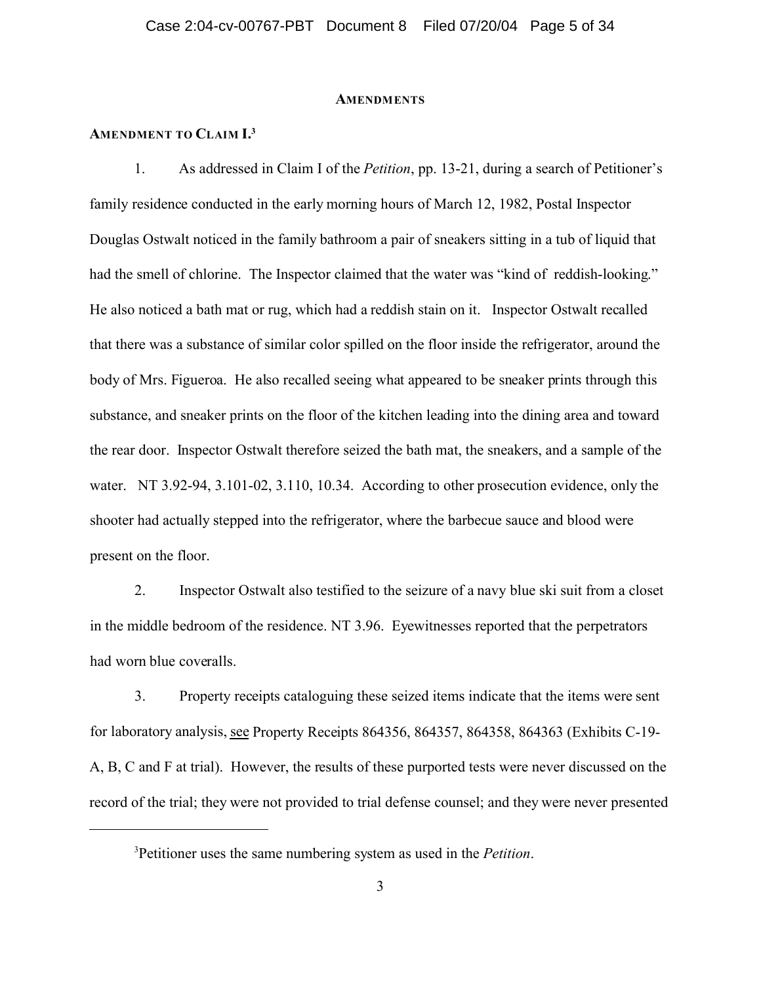#### **AMENDMENTS**

### **AMENDMENT TO CLAIM I.<sup>3</sup>**

1. As addressed in Claim I of the *Petition*, pp. 13-21, during a search of Petitioner's family residence conducted in the early morning hours of March 12, 1982, Postal Inspector Douglas Ostwalt noticed in the family bathroom a pair of sneakers sitting in a tub of liquid that had the smell of chlorine. The Inspector claimed that the water was "kind of reddish-looking." He also noticed a bath mat or rug, which had a reddish stain on it. Inspector Ostwalt recalled that there was a substance of similar color spilled on the floor inside the refrigerator, around the body of Mrs. Figueroa. He also recalled seeing what appeared to be sneaker prints through this substance, and sneaker prints on the floor of the kitchen leading into the dining area and toward the rear door. Inspector Ostwalt therefore seized the bath mat, the sneakers, and a sample of the water. NT 3.92-94, 3.101-02, 3.110, 10.34. According to other prosecution evidence, only the shooter had actually stepped into the refrigerator, where the barbecue sauce and blood were present on the floor.

2. Inspector Ostwalt also testified to the seizure of a navy blue ski suit from a closet in the middle bedroom of the residence. NT 3.96. Eyewitnesses reported that the perpetrators had worn blue coveralls.

3. Property receipts cataloguing these seized items indicate that the items were sent for laboratory analysis, see Property Receipts 864356, 864357, 864358, 864363 (Exhibits C-19- A, B, C and F at trial). However, the results of these purported tests were never discussed on the record of the trial; they were not provided to trial defense counsel; and they were never presented

<sup>3</sup>Petitioner uses the same numbering system as used in the *Petition*.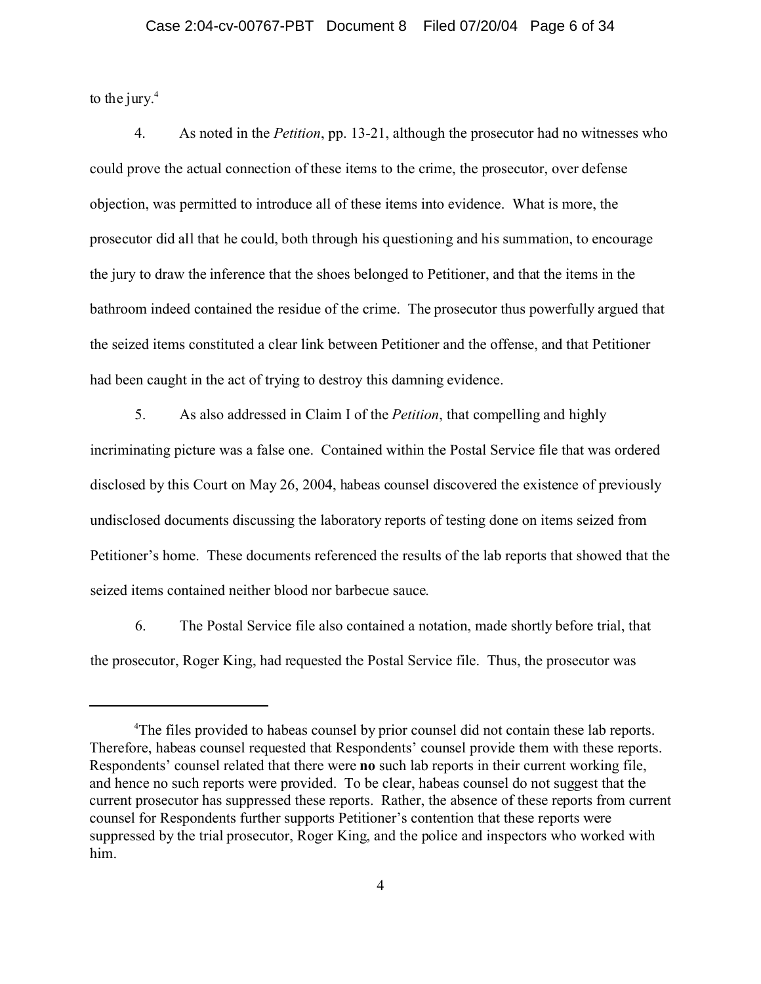to the jury. $4$ 

4. As noted in the *Petition*, pp. 13-21, although the prosecutor had no witnesses who could prove the actual connection of these items to the crime, the prosecutor, over defense objection, was permitted to introduce all of these items into evidence. What is more, the prosecutor did all that he could, both through his questioning and his summation, to encourage the jury to draw the inference that the shoes belonged to Petitioner, and that the items in the bathroom indeed contained the residue of the crime. The prosecutor thus powerfully argued that the seized items constituted a clear link between Petitioner and the offense, and that Petitioner had been caught in the act of trying to destroy this damning evidence.

5. As also addressed in Claim I of the *Petition*, that compelling and highly incriminating picture was a false one. Contained within the Postal Service file that was ordered disclosed by this Court on May 26, 2004, habeas counsel discovered the existence of previously undisclosed documents discussing the laboratory reports of testing done on items seized from Petitioner's home. These documents referenced the results of the lab reports that showed that the seized items contained neither blood nor barbecue sauce.

6. The Postal Service file also contained a notation, made shortly before trial, that the prosecutor, Roger King, had requested the Postal Service file. Thus, the prosecutor was

<sup>&</sup>lt;sup>4</sup>The files provided to habeas counsel by prior counsel did not contain these lab reports. Therefore, habeas counsel requested that Respondents' counsel provide them with these reports. Respondents' counsel related that there were **no** such lab reports in their current working file, and hence no such reports were provided. To be clear, habeas counsel do not suggest that the current prosecutor has suppressed these reports. Rather, the absence of these reports from current counsel for Respondents further supports Petitioner's contention that these reports were suppressed by the trial prosecutor, Roger King, and the police and inspectors who worked with him.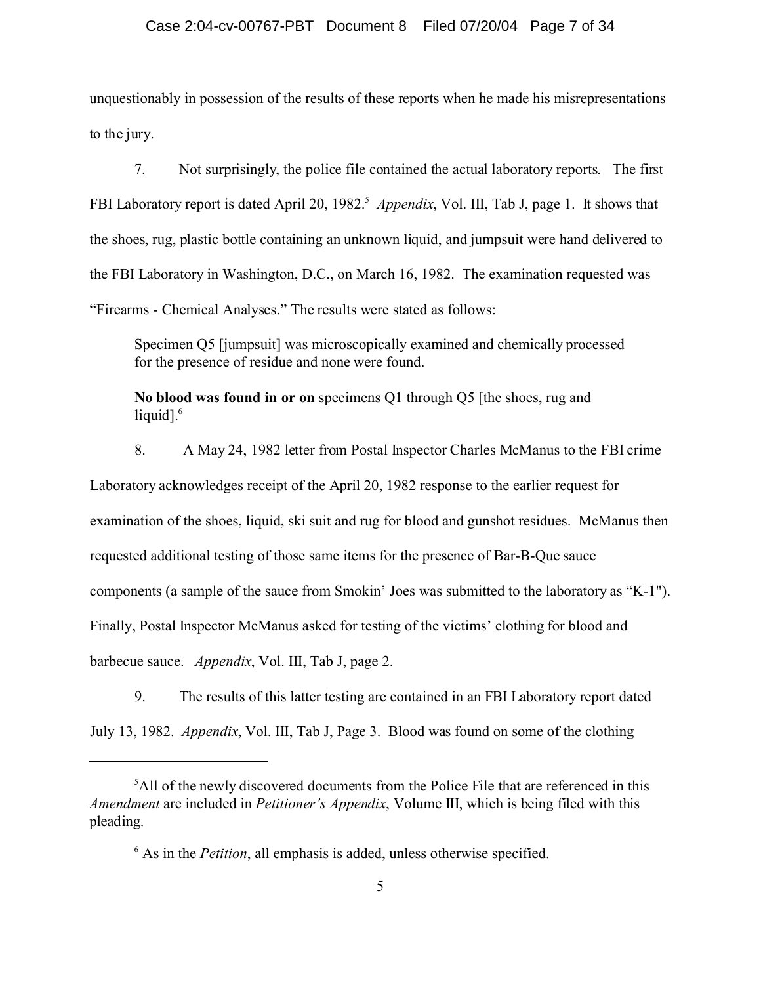### Case 2:04-cv-00767-PBT Document 8 Filed 07/20/04 Page 7 of 34

unquestionably in possession of the results of these reports when he made his misrepresentations to the jury.

7. Not surprisingly, the police file contained the actual laboratory reports. The first FBI Laboratory report is dated April 20, 1982.<sup>5</sup> Appendix, Vol. III, Tab J, page 1. It shows that the shoes, rug, plastic bottle containing an unknown liquid, and jumpsuit were hand delivered to the FBI Laboratory in Washington, D.C., on March 16, 1982. The examination requested was "Firearms - Chemical Analyses." The results were stated as follows:

Specimen Q5 [jumpsuit] was microscopically examined and chemically processed for the presence of residue and none were found.

**No blood was found in or on** specimens Q1 through Q5 [the shoes, rug and liquid]. $6$ 

8. A May 24, 1982 letter from Postal Inspector Charles McManus to the FBI crime Laboratory acknowledges receipt of the April 20, 1982 response to the earlier request for examination of the shoes, liquid, ski suit and rug for blood and gunshot residues. McManus then requested additional testing of those same items for the presence of Bar-B-Que sauce components (a sample of the sauce from Smokin' Joes was submitted to the laboratory as "K-1"). Finally, Postal Inspector McManus asked for testing of the victims' clothing for blood and barbecue sauce. *Appendix*, Vol. III, Tab J, page 2.

9. The results of this latter testing are contained in an FBI Laboratory report dated July 13, 1982. *Appendix*, Vol. III, Tab J, Page 3. Blood was found on some of the clothing

<sup>&</sup>lt;sup>5</sup>All of the newly discovered documents from the Police File that are referenced in this *Amendment* are included in *Petitioner's Appendix*, Volume III, which is being filed with this pleading.

<sup>6</sup> As in the *Petition*, all emphasis is added, unless otherwise specified.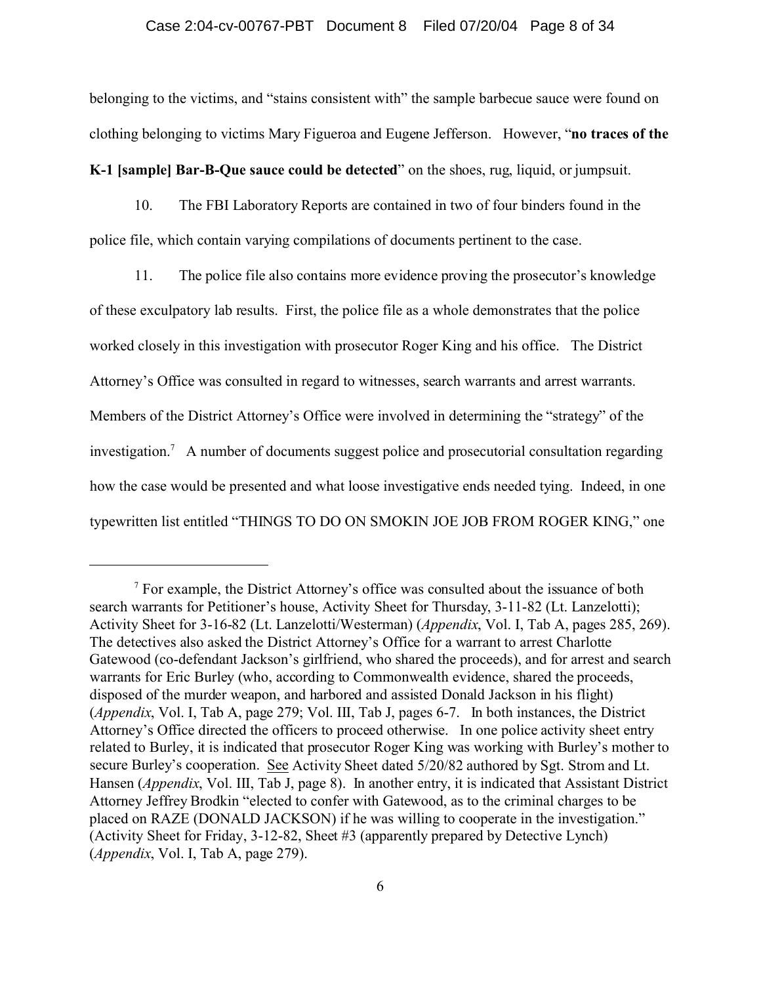#### Case 2:04-cv-00767-PBT Document 8 Filed 07/20/04 Page 8 of 34

belonging to the victims, and "stains consistent with" the sample barbecue sauce were found on clothing belonging to victims Mary Figueroa and Eugene Jefferson. However, "**no traces of the**

**K-1 [sample] Bar-B-Que sauce could be detected**" on the shoes, rug, liquid, or jumpsuit.

10. The FBI Laboratory Reports are contained in two of four binders found in the police file, which contain varying compilations of documents pertinent to the case.

11. The police file also contains more evidence proving the prosecutor's knowledge of these exculpatory lab results. First, the police file as a whole demonstrates that the police worked closely in this investigation with prosecutor Roger King and his office. The District Attorney's Office was consulted in regard to witnesses, search warrants and arrest warrants. Members of the District Attorney's Office were involved in determining the "strategy" of the investigation.<sup>7</sup> A number of documents suggest police and prosecutorial consultation regarding how the case would be presented and what loose investigative ends needed tying. Indeed, in one typewritten list entitled "THINGS TO DO ON SMOKIN JOE JOB FROM ROGER KING," one

 $<sup>7</sup>$  For example, the District Attorney's office was consulted about the issuance of both</sup> search warrants for Petitioner's house, Activity Sheet for Thursday, 3-11-82 (Lt. Lanzelotti); Activity Sheet for 3-16-82 (Lt. Lanzelotti/Westerman) (*Appendix*, Vol. I, Tab A, pages 285, 269). The detectives also asked the District Attorney's Office for a warrant to arrest Charlotte Gatewood (co-defendant Jackson's girlfriend, who shared the proceeds), and for arrest and search warrants for Eric Burley (who, according to Commonwealth evidence, shared the proceeds, disposed of the murder weapon, and harbored and assisted Donald Jackson in his flight) (*Appendix*, Vol. I, Tab A, page 279; Vol. III, Tab J, pages 6-7. In both instances, the District Attorney's Office directed the officers to proceed otherwise. In one police activity sheet entry related to Burley, it is indicated that prosecutor Roger King was working with Burley's mother to secure Burley's cooperation. See Activity Sheet dated 5/20/82 authored by Sgt. Strom and Lt. Hansen (*Appendix*, Vol. III, Tab J, page 8). In another entry, it is indicated that Assistant District Attorney Jeffrey Brodkin "elected to confer with Gatewood, as to the criminal charges to be placed on RAZE (DONALD JACKSON) if he was willing to cooperate in the investigation." (Activity Sheet for Friday, 3-12-82, Sheet #3 (apparently prepared by Detective Lynch) (*Appendix*, Vol. I, Tab A, page 279).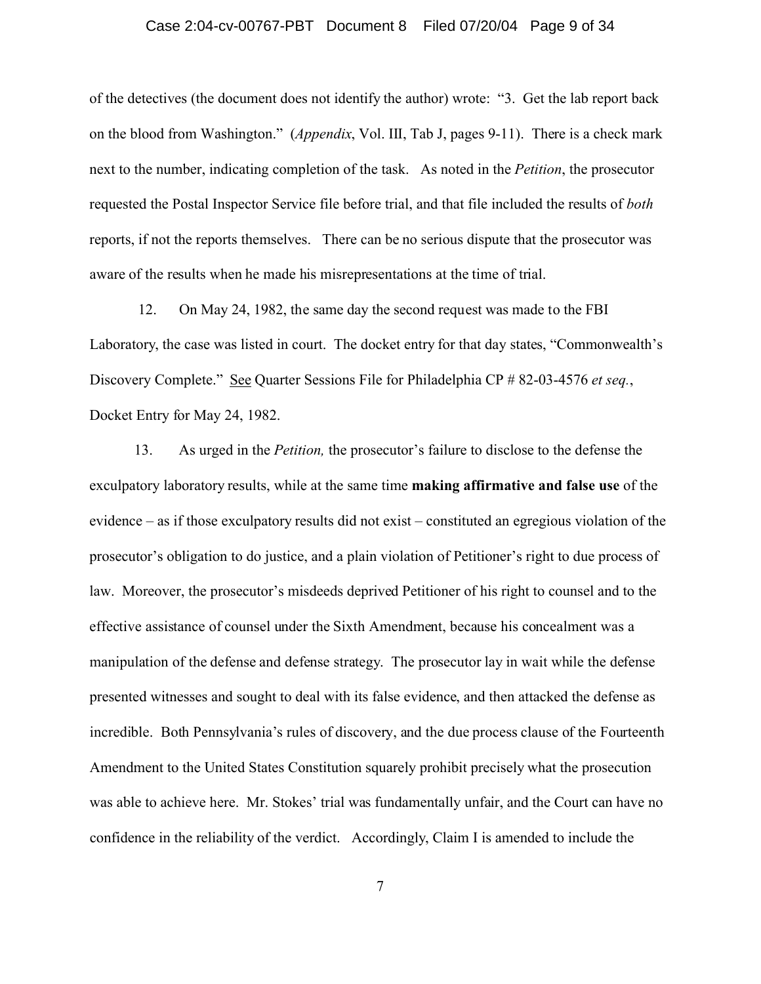### Case 2:04-cv-00767-PBT Document 8 Filed 07/20/04 Page 9 of 34

of the detectives (the document does not identify the author) wrote: "3. Get the lab report back on the blood from Washington." (*Appendix*, Vol. III, Tab J, pages 9-11). There is a check mark next to the number, indicating completion of the task. As noted in the *Petition*, the prosecutor requested the Postal Inspector Service file before trial, and that file included the results of *both* reports, if not the reports themselves. There can be no serious dispute that the prosecutor was aware of the results when he made his misrepresentations at the time of trial.

 12. On May 24, 1982, the same day the second request was made to the FBI Laboratory, the case was listed in court. The docket entry for that day states, "Commonwealth's Discovery Complete." See Quarter Sessions File for Philadelphia CP # 82-03-4576 *et seq.*, Docket Entry for May 24, 1982.

13. As urged in the *Petition,* the prosecutor's failure to disclose to the defense the exculpatory laboratory results, while at the same time **making affirmative and false use** of the evidence – as if those exculpatory results did not exist – constituted an egregious violation of the prosecutor's obligation to do justice, and a plain violation of Petitioner's right to due process of law. Moreover, the prosecutor's misdeeds deprived Petitioner of his right to counsel and to the effective assistance of counsel under the Sixth Amendment, because his concealment was a manipulation of the defense and defense strategy. The prosecutor lay in wait while the defense presented witnesses and sought to deal with its false evidence, and then attacked the defense as incredible. Both Pennsylvania's rules of discovery, and the due process clause of the Fourteenth Amendment to the United States Constitution squarely prohibit precisely what the prosecution was able to achieve here. Mr. Stokes' trial was fundamentally unfair, and the Court can have no confidence in the reliability of the verdict. Accordingly, Claim I is amended to include the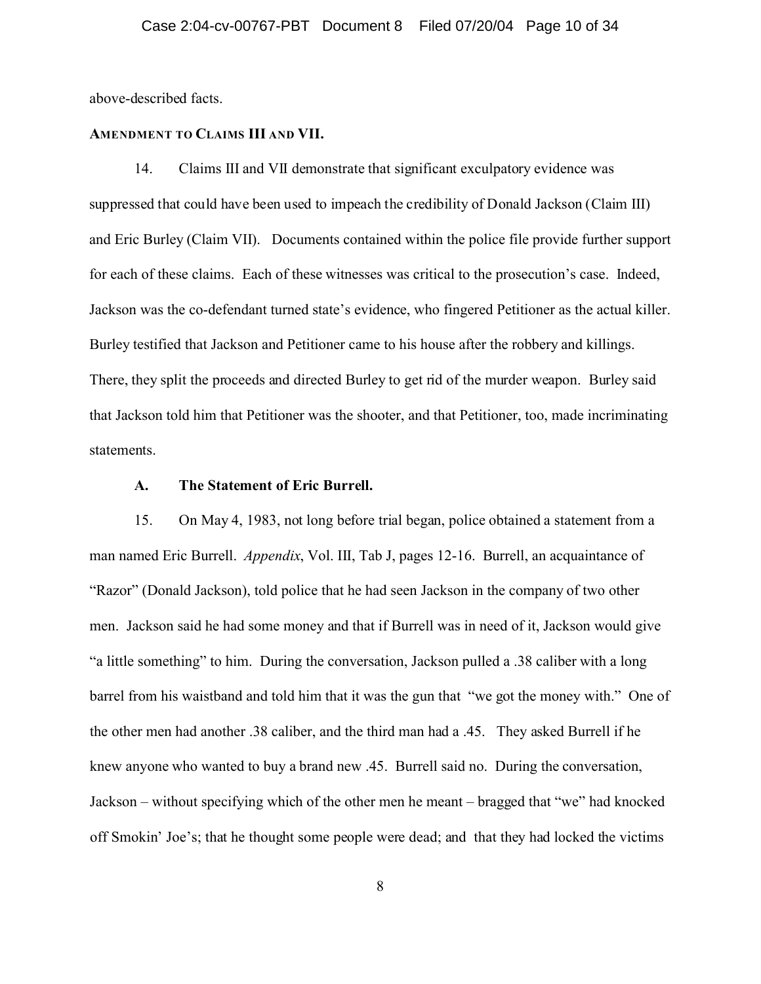above-described facts.

### **AMENDMENT TO CLAIMS III AND VII.**

14. Claims III and VII demonstrate that significant exculpatory evidence was suppressed that could have been used to impeach the credibility of Donald Jackson (Claim III) and Eric Burley (Claim VII). Documents contained within the police file provide further support for each of these claims. Each of these witnesses was critical to the prosecution's case. Indeed, Jackson was the co-defendant turned state's evidence, who fingered Petitioner as the actual killer. Burley testified that Jackson and Petitioner came to his house after the robbery and killings. There, they split the proceeds and directed Burley to get rid of the murder weapon. Burley said that Jackson told him that Petitioner was the shooter, and that Petitioner, too, made incriminating statements.

### **A. The Statement of Eric Burrell.**

15. On May 4, 1983, not long before trial began, police obtained a statement from a man named Eric Burrell. *Appendix*, Vol. III, Tab J, pages 12-16. Burrell, an acquaintance of "Razor" (Donald Jackson), told police that he had seen Jackson in the company of two other men. Jackson said he had some money and that if Burrell was in need of it, Jackson would give "a little something" to him. During the conversation, Jackson pulled a .38 caliber with a long barrel from his waistband and told him that it was the gun that "we got the money with." One of the other men had another .38 caliber, and the third man had a .45. They asked Burrell if he knew anyone who wanted to buy a brand new .45. Burrell said no. During the conversation, Jackson – without specifying which of the other men he meant – bragged that "we" had knocked off Smokin' Joe's; that he thought some people were dead; and that they had locked the victims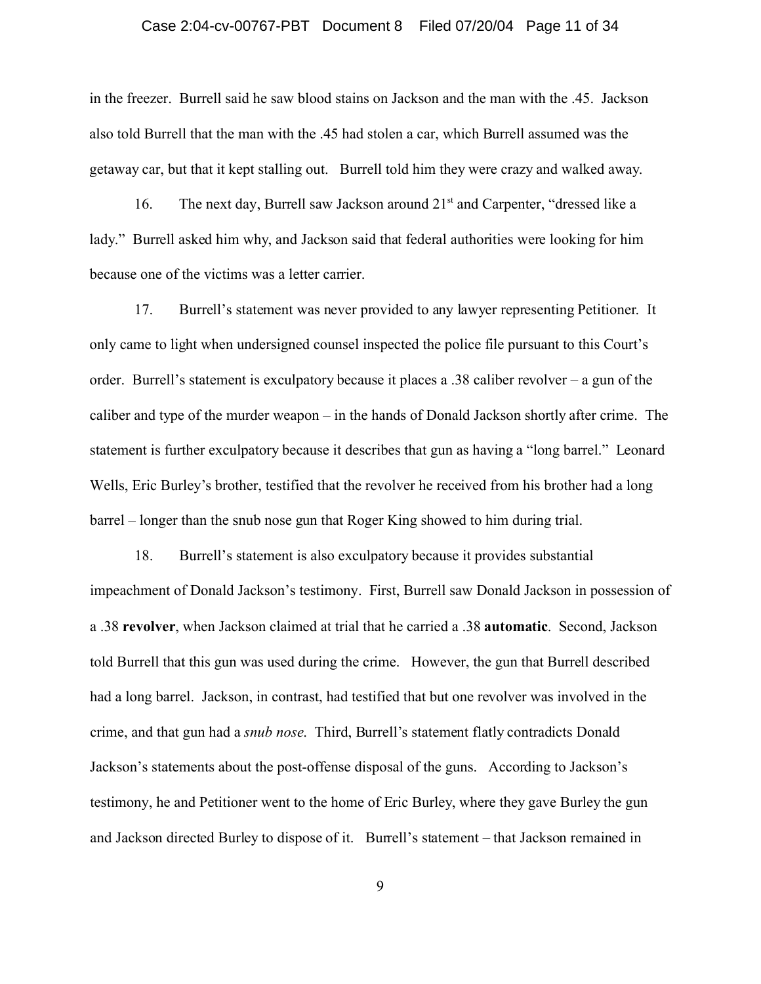### Case 2:04-cv-00767-PBT Document 8 Filed 07/20/04 Page 11 of 34

in the freezer. Burrell said he saw blood stains on Jackson and the man with the .45. Jackson also told Burrell that the man with the .45 had stolen a car, which Burrell assumed was the getaway car, but that it kept stalling out. Burrell told him they were crazy and walked away.

16. The next day, Burrell saw Jackson around 21<sup>st</sup> and Carpenter, "dressed like a lady." Burrell asked him why, and Jackson said that federal authorities were looking for him because one of the victims was a letter carrier.

17. Burrell's statement was never provided to any lawyer representing Petitioner. It only came to light when undersigned counsel inspected the police file pursuant to this Court's order. Burrell's statement is exculpatory because it places a .38 caliber revolver – a gun of the caliber and type of the murder weapon – in the hands of Donald Jackson shortly after crime. The statement is further exculpatory because it describes that gun as having a "long barrel." Leonard Wells, Eric Burley's brother, testified that the revolver he received from his brother had a long barrel – longer than the snub nose gun that Roger King showed to him during trial.

18. Burrell's statement is also exculpatory because it provides substantial impeachment of Donald Jackson's testimony. First, Burrell saw Donald Jackson in possession of a .38 **revolver**, when Jackson claimed at trial that he carried a .38 **automatic**. Second, Jackson told Burrell that this gun was used during the crime. However, the gun that Burrell described had a long barrel. Jackson, in contrast, had testified that but one revolver was involved in the crime, and that gun had a *snub nose*. Third, Burrell's statement flatly contradicts Donald Jackson's statements about the post-offense disposal of the guns. According to Jackson's testimony, he and Petitioner went to the home of Eric Burley, where they gave Burley the gun and Jackson directed Burley to dispose of it. Burrell's statement – that Jackson remained in

9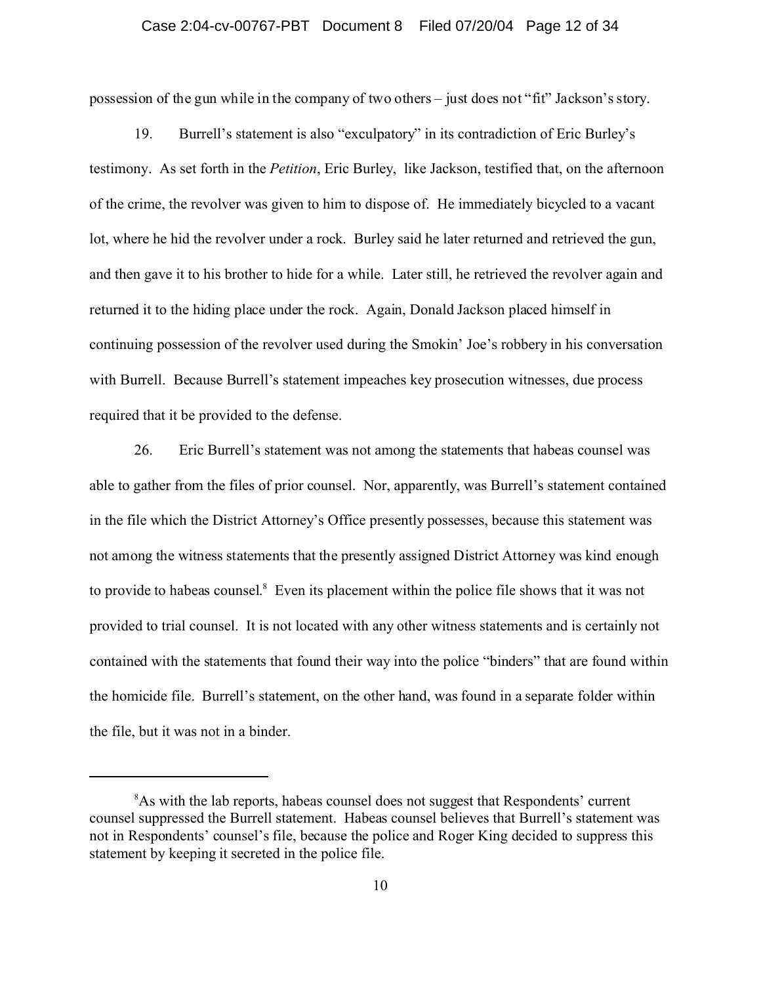### Case 2:04-cv-00767-PBT Document 8 Filed 07/20/04 Page 12 of 34

possession of the gun while in the company of two others – just does not "fit" Jackson's story.

19. Burrell's statement is also "exculpatory" in its contradiction of Eric Burley's testimony. As set forth in the *Petition*, Eric Burley, like Jackson, testified that, on the afternoon of the crime, the revolver was given to him to dispose of. He immediately bicycled to a vacant lot, where he hid the revolver under a rock. Burley said he later returned and retrieved the gun, and then gave it to his brother to hide for a while. Later still, he retrieved the revolver again and returned it to the hiding place under the rock. Again, Donald Jackson placed himself in continuing possession of the revolver used during the Smokin' Joe's robbery in his conversation with Burrell. Because Burrell's statement impeaches key prosecution witnesses, due process required that it be provided to the defense.

26. Eric Burrell's statement was not among the statements that habeas counsel was able to gather from the files of prior counsel. Nor, apparently, was Burrell's statement contained in the file which the District Attorney's Office presently possesses, because this statement was not among the witness statements that the presently assigned District Attorney was kind enough to provide to habeas counsel.<sup>8</sup> Even its placement within the police file shows that it was not provided to trial counsel. It is not located with any other witness statements and is certainly not contained with the statements that found their way into the police "binders" that are found within the homicide file. Burrell's statement, on the other hand, was found in a separate folder within the file, but it was not in a binder.

<sup>&</sup>lt;sup>8</sup>As with the lab reports, habeas counsel does not suggest that Respondents' current counsel suppressed the Burrell statement. Habeas counsel believes that Burrell's statement was not in Respondents' counsel's file, because the police and Roger King decided to suppress this statement by keeping it secreted in the police file.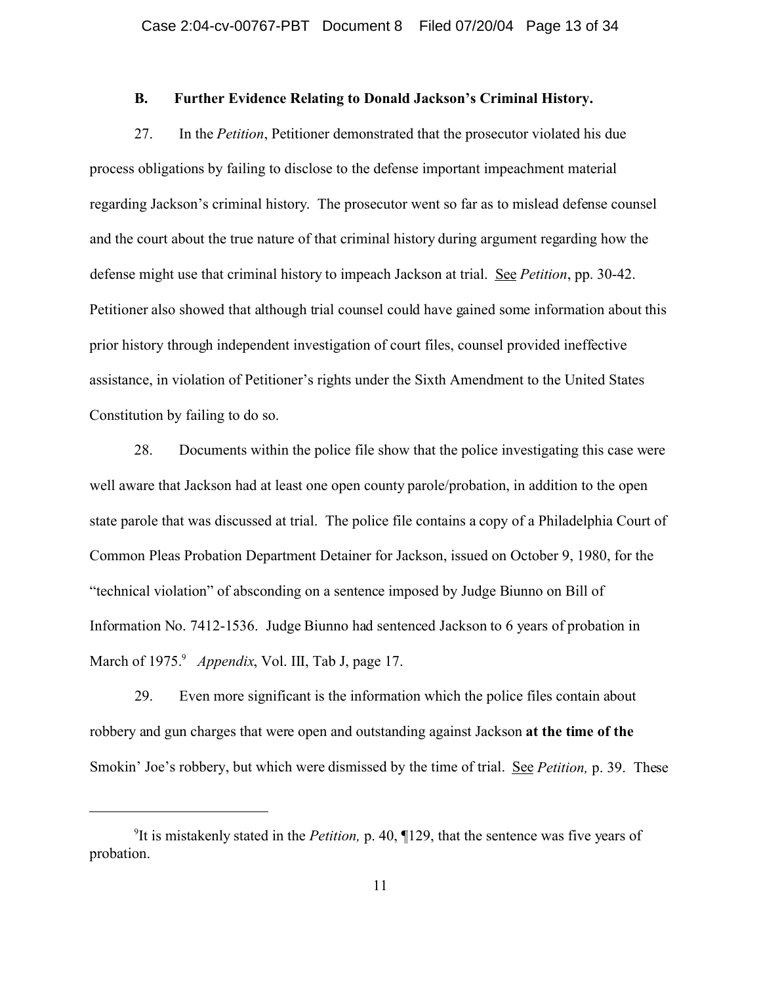### **B. Further Evidence Relating to Donald Jackson's Criminal History.**

27. In the *Petition*, Petitioner demonstrated that the prosecutor violated his due process obligations by failing to disclose to the defense important impeachment material regarding Jackson's criminal history. The prosecutor went so far as to mislead defense counsel and the court about the true nature of that criminal history during argument regarding how the defense might use that criminal history to impeach Jackson at trial. See *Petition*, pp. 30-42. Petitioner also showed that although trial counsel could have gained some information about this prior history through independent investigation of court files, counsel provided ineffective assistance, in violation of Petitioner's rights under the Sixth Amendment to the United States Constitution by failing to do so.

28. Documents within the police file show that the police investigating this case were well aware that Jackson had at least one open county parole/probation, in addition to the open state parole that was discussed at trial. The police file contains a copy of a Philadelphia Court of Common Pleas Probation Department Detainer for Jackson, issued on October 9, 1980, for the "technical violation" of absconding on a sentence imposed by Judge Biunno on Bill of Information No. 7412-1536. Judge Biunno had sentenced Jackson to 6 years of probation in March of 1975.<sup>9</sup> Appendix, Vol. III, Tab J, page 17.

29. Even more significant is the information which the police files contain about robbery and gun charges that were open and outstanding against Jackson **at the time of the** Smokin' Joe's robbery, but which were dismissed by the time of trial. See *Petition,* p. 39. These

<sup>9</sup> It is mistakenly stated in the *Petition,* p. 40, ¶129, that the sentence was five years of probation.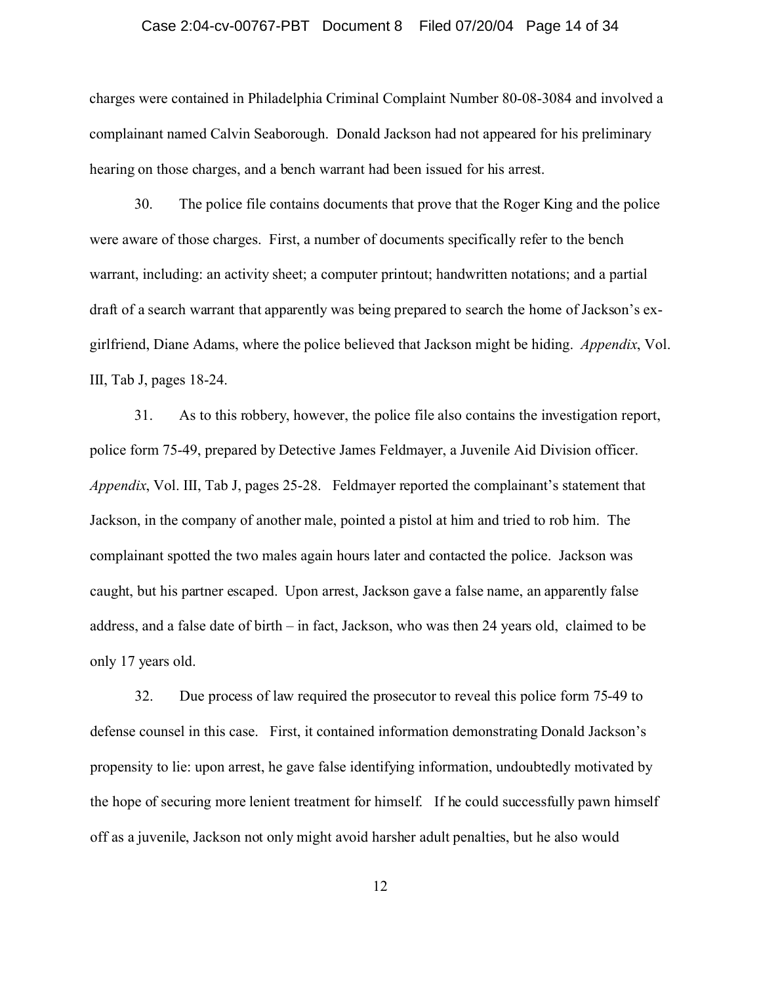### Case 2:04-cv-00767-PBT Document 8 Filed 07/20/04 Page 14 of 34

charges were contained in Philadelphia Criminal Complaint Number 80-08-3084 and involved a complainant named Calvin Seaborough. Donald Jackson had not appeared for his preliminary hearing on those charges, and a bench warrant had been issued for his arrest.

30. The police file contains documents that prove that the Roger King and the police were aware of those charges. First, a number of documents specifically refer to the bench warrant, including: an activity sheet; a computer printout; handwritten notations; and a partial draft of a search warrant that apparently was being prepared to search the home of Jackson's exgirlfriend, Diane Adams, where the police believed that Jackson might be hiding. *Appendix*, Vol. III, Tab J, pages 18-24.

31. As to this robbery, however, the police file also contains the investigation report, police form 75-49, prepared by Detective James Feldmayer, a Juvenile Aid Division officer. *Appendix*, Vol. III, Tab J, pages 25-28. Feldmayer reported the complainant's statement that Jackson, in the company of another male, pointed a pistol at him and tried to rob him. The complainant spotted the two males again hours later and contacted the police. Jackson was caught, but his partner escaped. Upon arrest, Jackson gave a false name, an apparently false address, and a false date of birth – in fact, Jackson, who was then 24 years old, claimed to be only 17 years old.

32. Due process of law required the prosecutor to reveal this police form 75-49 to defense counsel in this case. First, it contained information demonstrating Donald Jackson's propensity to lie: upon arrest, he gave false identifying information, undoubtedly motivated by the hope of securing more lenient treatment for himself. If he could successfully pawn himself off as a juvenile, Jackson not only might avoid harsher adult penalties, but he also would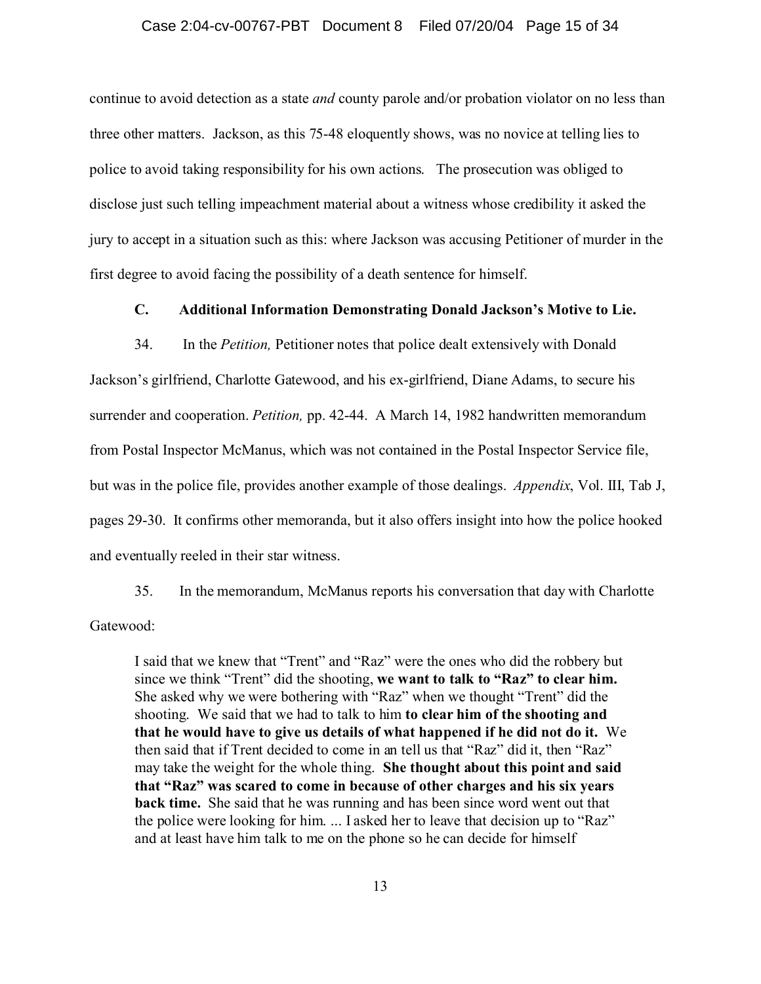### Case 2:04-cv-00767-PBT Document 8 Filed 07/20/04 Page 15 of 34

continue to avoid detection as a state *and* county parole and/or probation violator on no less than three other matters. Jackson, as this 75-48 eloquently shows, was no novice at telling lies to police to avoid taking responsibility for his own actions. The prosecution was obliged to disclose just such telling impeachment material about a witness whose credibility it asked the jury to accept in a situation such as this: where Jackson was accusing Petitioner of murder in the first degree to avoid facing the possibility of a death sentence for himself.

### **C. Additional Information Demonstrating Donald Jackson's Motive to Lie.**

34. In the *Petition,* Petitioner notes that police dealt extensively with Donald Jackson's girlfriend, Charlotte Gatewood, and his ex-girlfriend, Diane Adams, to secure his surrender and cooperation. *Petition,* pp. 42-44. A March 14, 1982 handwritten memorandum from Postal Inspector McManus, which was not contained in the Postal Inspector Service file, but was in the police file, provides another example of those dealings. *Appendix*, Vol. III, Tab J, pages 29-30. It confirms other memoranda, but it also offers insight into how the police hooked and eventually reeled in their star witness.

35. In the memorandum, McManus reports his conversation that day with Charlotte Gatewood:

I said that we knew that "Trent" and "Raz" were the ones who did the robbery but since we think "Trent" did the shooting, **we want to talk to "Raz" to clear him.** She asked why we were bothering with "Raz" when we thought "Trent" did the shooting. We said that we had to talk to him **to clear him of the shooting and that he would have to give us details of what happened if he did not do it.** We then said that if Trent decided to come in an tell us that "Raz" did it, then "Raz" may take the weight for the whole thing. **She thought about this point and said that "Raz" was scared to come in because of other charges and his six years back time.** She said that he was running and has been since word went out that the police were looking for him. ... I asked her to leave that decision up to "Raz" and at least have him talk to me on the phone so he can decide for himself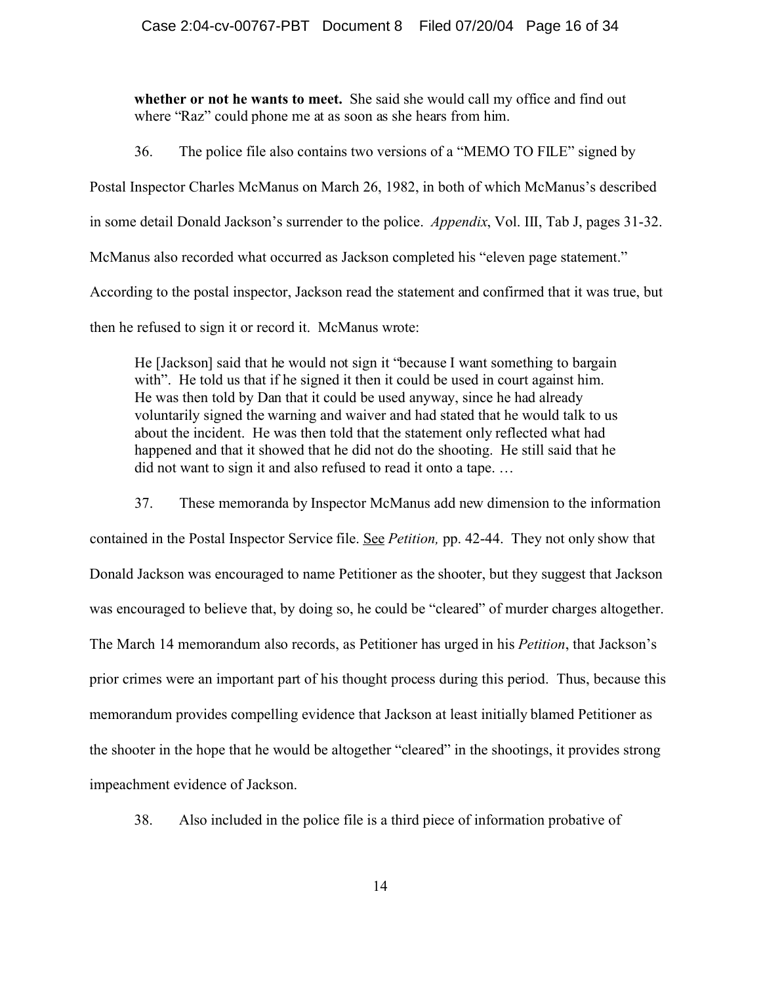**whether or not he wants to meet.** She said she would call my office and find out where "Raz" could phone me at as soon as she hears from him.

36. The police file also contains two versions of a "MEMO TO FILE" signed by

Postal Inspector Charles McManus on March 26, 1982, in both of which McManus's described

in some detail Donald Jackson's surrender to the police. *Appendix*, Vol. III, Tab J, pages 31-32.

McManus also recorded what occurred as Jackson completed his "eleven page statement."

According to the postal inspector, Jackson read the statement and confirmed that it was true, but

then he refused to sign it or record it. McManus wrote:

He [Jackson] said that he would not sign it "because I want something to bargain with". He told us that if he signed it then it could be used in court against him. He was then told by Dan that it could be used anyway, since he had already voluntarily signed the warning and waiver and had stated that he would talk to us about the incident. He was then told that the statement only reflected what had happened and that it showed that he did not do the shooting. He still said that he did not want to sign it and also refused to read it onto a tape. …

37. These memoranda by Inspector McManus add new dimension to the information

contained in the Postal Inspector Service file. See *Petition,* pp. 42-44. They not only show that Donald Jackson was encouraged to name Petitioner as the shooter, but they suggest that Jackson was encouraged to believe that, by doing so, he could be "cleared" of murder charges altogether. The March 14 memorandum also records, as Petitioner has urged in his *Petition*, that Jackson's prior crimes were an important part of his thought process during this period. Thus, because this memorandum provides compelling evidence that Jackson at least initially blamed Petitioner as the shooter in the hope that he would be altogether "cleared" in the shootings, it provides strong impeachment evidence of Jackson.

38. Also included in the police file is a third piece of information probative of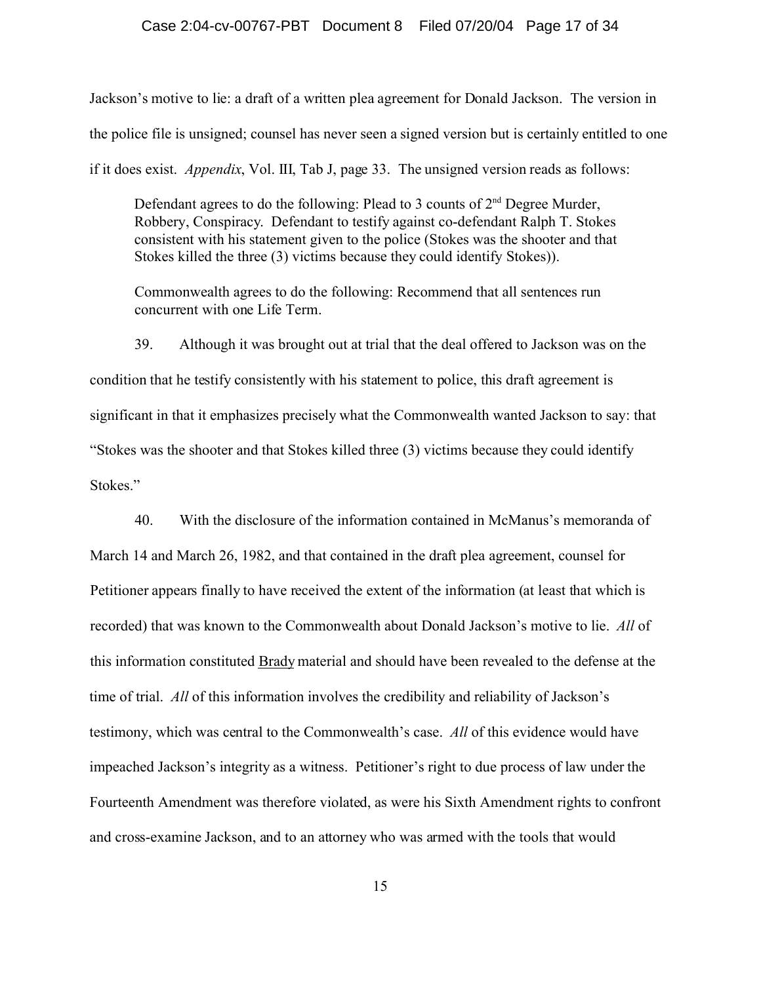Jackson's motive to lie: a draft of a written plea agreement for Donald Jackson. The version in the police file is unsigned; counsel has never seen a signed version but is certainly entitled to one if it does exist. *Appendix*, Vol. III, Tab J, page 33. The unsigned version reads as follows:

Defendant agrees to do the following: Plead to 3 counts of  $2<sup>nd</sup>$  Degree Murder, Robbery, Conspiracy. Defendant to testify against co-defendant Ralph T. Stokes consistent with his statement given to the police (Stokes was the shooter and that Stokes killed the three (3) victims because they could identify Stokes)).

Commonwealth agrees to do the following: Recommend that all sentences run concurrent with one Life Term.

39. Although it was brought out at trial that the deal offered to Jackson was on the condition that he testify consistently with his statement to police, this draft agreement is significant in that it emphasizes precisely what the Commonwealth wanted Jackson to say: that "Stokes was the shooter and that Stokes killed three (3) victims because they could identify Stokes."

 40. With the disclosure of the information contained in McManus's memoranda of March 14 and March 26, 1982, and that contained in the draft plea agreement, counsel for Petitioner appears finally to have received the extent of the information (at least that which is recorded) that was known to the Commonwealth about Donald Jackson's motive to lie. *All* of this information constituted Brady material and should have been revealed to the defense at the time of trial. *All* of this information involves the credibility and reliability of Jackson's testimony, which was central to the Commonwealth's case. *All* of this evidence would have impeached Jackson's integrity as a witness. Petitioner's right to due process of law under the Fourteenth Amendment was therefore violated, as were his Sixth Amendment rights to confront and cross-examine Jackson, and to an attorney who was armed with the tools that would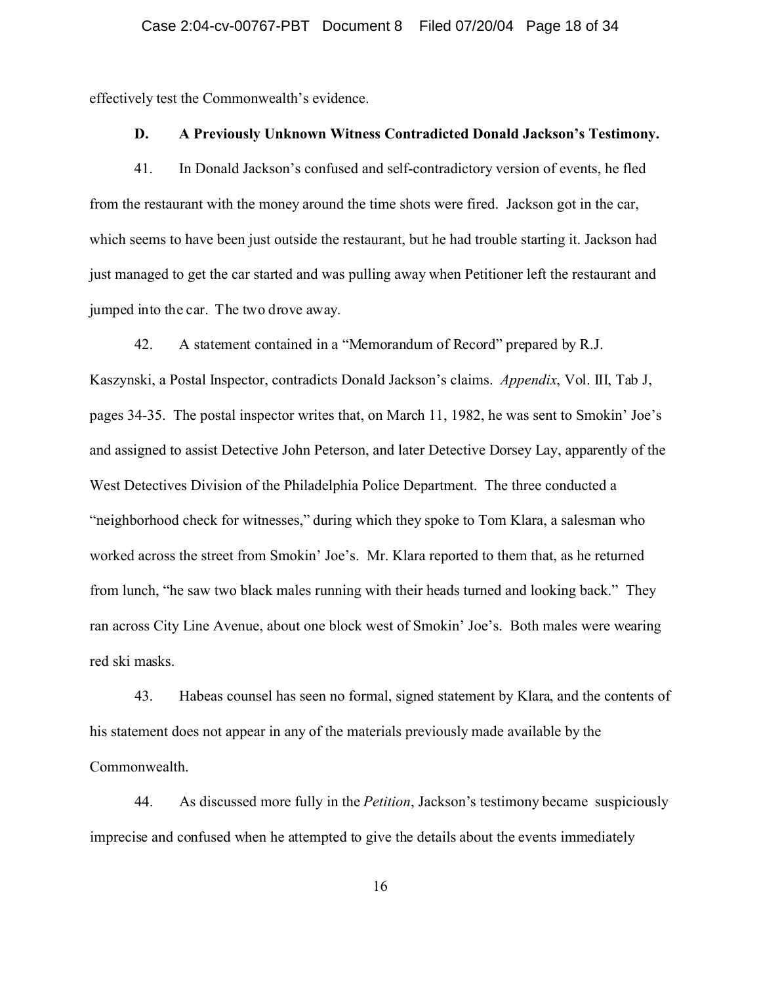effectively test the Commonwealth's evidence.

### **D. A Previously Unknown Witness Contradicted Donald Jackson's Testimony.**

41. In Donald Jackson's confused and self-contradictory version of events, he fled from the restaurant with the money around the time shots were fired. Jackson got in the car, which seems to have been just outside the restaurant, but he had trouble starting it. Jackson had just managed to get the car started and was pulling away when Petitioner left the restaurant and jumped into the car. The two drove away.

42. A statement contained in a "Memorandum of Record" prepared by R.J. Kaszynski, a Postal Inspector, contradicts Donald Jackson's claims. *Appendix*, Vol. III, Tab J, pages 34-35. The postal inspector writes that, on March 11, 1982, he was sent to Smokin' Joe's and assigned to assist Detective John Peterson, and later Detective Dorsey Lay, apparently of the West Detectives Division of the Philadelphia Police Department. The three conducted a "neighborhood check for witnesses," during which they spoke to Tom Klara, a salesman who worked across the street from Smokin' Joe's. Mr. Klara reported to them that, as he returned from lunch, "he saw two black males running with their heads turned and looking back." They ran across City Line Avenue, about one block west of Smokin' Joe's. Both males were wearing red ski masks.

43. Habeas counsel has seen no formal, signed statement by Klara, and the contents of his statement does not appear in any of the materials previously made available by the Commonwealth.

44. As discussed more fully in the *Petition*, Jackson's testimony became suspiciously imprecise and confused when he attempted to give the details about the events immediately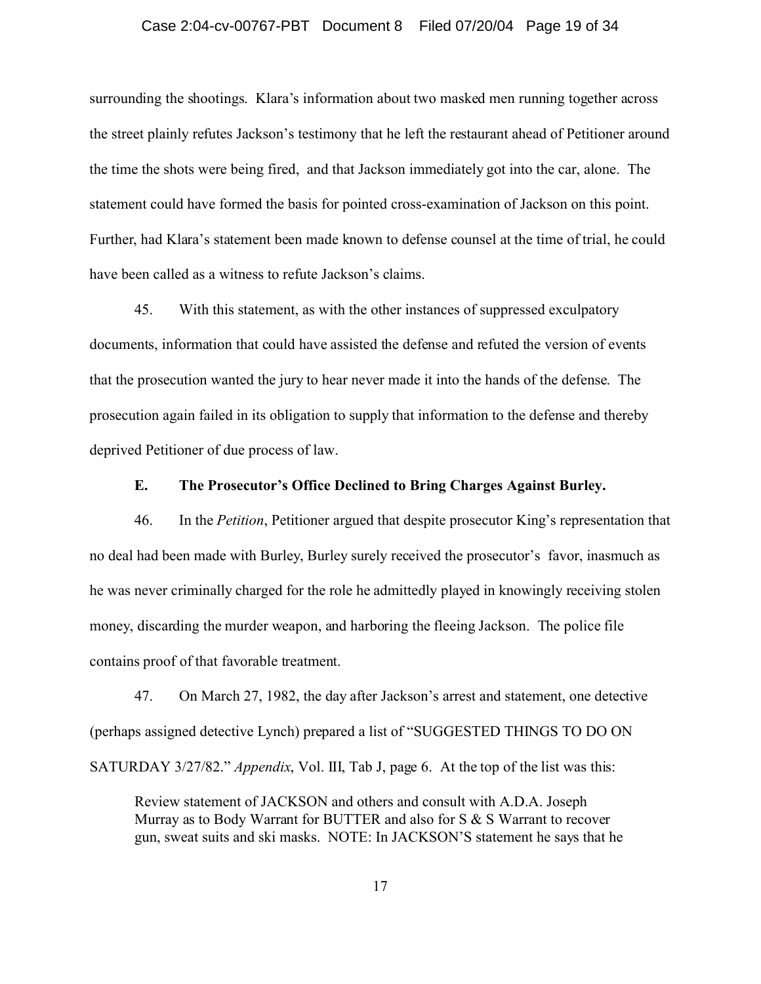### Case 2:04-cv-00767-PBT Document 8 Filed 07/20/04 Page 19 of 34

surrounding the shootings. Klara's information about two masked men running together across the street plainly refutes Jackson's testimony that he left the restaurant ahead of Petitioner around the time the shots were being fired, and that Jackson immediately got into the car, alone. The statement could have formed the basis for pointed cross-examination of Jackson on this point. Further, had Klara's statement been made known to defense counsel at the time of trial, he could have been called as a witness to refute Jackson's claims.

45. With this statement, as with the other instances of suppressed exculpatory documents, information that could have assisted the defense and refuted the version of events that the prosecution wanted the jury to hear never made it into the hands of the defense. The prosecution again failed in its obligation to supply that information to the defense and thereby deprived Petitioner of due process of law.

### **E. The Prosecutor's Office Declined to Bring Charges Against Burley.**

46. In the *Petition*, Petitioner argued that despite prosecutor King's representation that no deal had been made with Burley, Burley surely received the prosecutor's favor, inasmuch as he was never criminally charged for the role he admittedly played in knowingly receiving stolen money, discarding the murder weapon, and harboring the fleeing Jackson. The police file contains proof of that favorable treatment.

47. On March 27, 1982, the day after Jackson's arrest and statement, one detective (perhaps assigned detective Lynch) prepared a list of "SUGGESTED THINGS TO DO ON SATURDAY 3/27/82." *Appendix*, Vol. III, Tab J, page 6. At the top of the list was this:

Review statement of JACKSON and others and consult with A.D.A. Joseph Murray as to Body Warrant for BUTTER and also for S & S Warrant to recover gun, sweat suits and ski masks. NOTE: In JACKSON'S statement he says that he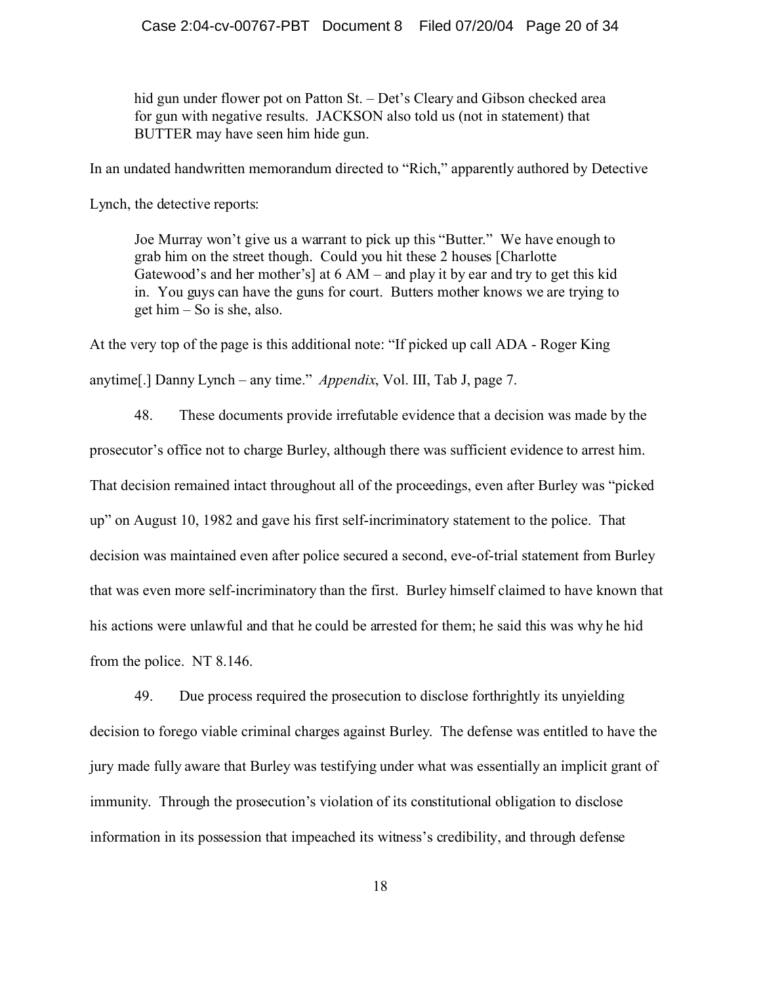hid gun under flower pot on Patton St. – Det's Cleary and Gibson checked area for gun with negative results. JACKSON also told us (not in statement) that BUTTER may have seen him hide gun.

In an undated handwritten memorandum directed to "Rich," apparently authored by Detective

Lynch, the detective reports:

Joe Murray won't give us a warrant to pick up this "Butter." We have enough to grab him on the street though. Could you hit these 2 houses [Charlotte Gatewood's and her mother's] at 6 AM – and play it by ear and try to get this kid in. You guys can have the guns for court. Butters mother knows we are trying to get him – So is she, also.

At the very top of the page is this additional note: "If picked up call ADA - Roger King anytime[.] Danny Lynch – any time." *Appendix*, Vol. III, Tab J, page 7.

48. These documents provide irrefutable evidence that a decision was made by the prosecutor's office not to charge Burley, although there was sufficient evidence to arrest him. That decision remained intact throughout all of the proceedings, even after Burley was "picked up" on August 10, 1982 and gave his first self-incriminatory statement to the police. That decision was maintained even after police secured a second, eve-of-trial statement from Burley that was even more self-incriminatory than the first. Burley himself claimed to have known that his actions were unlawful and that he could be arrested for them; he said this was why he hid from the police. NT 8.146.

49. Due process required the prosecution to disclose forthrightly its unyielding decision to forego viable criminal charges against Burley. The defense was entitled to have the jury made fully aware that Burley was testifying under what was essentially an implicit grant of immunity. Through the prosecution's violation of its constitutional obligation to disclose information in its possession that impeached its witness's credibility, and through defense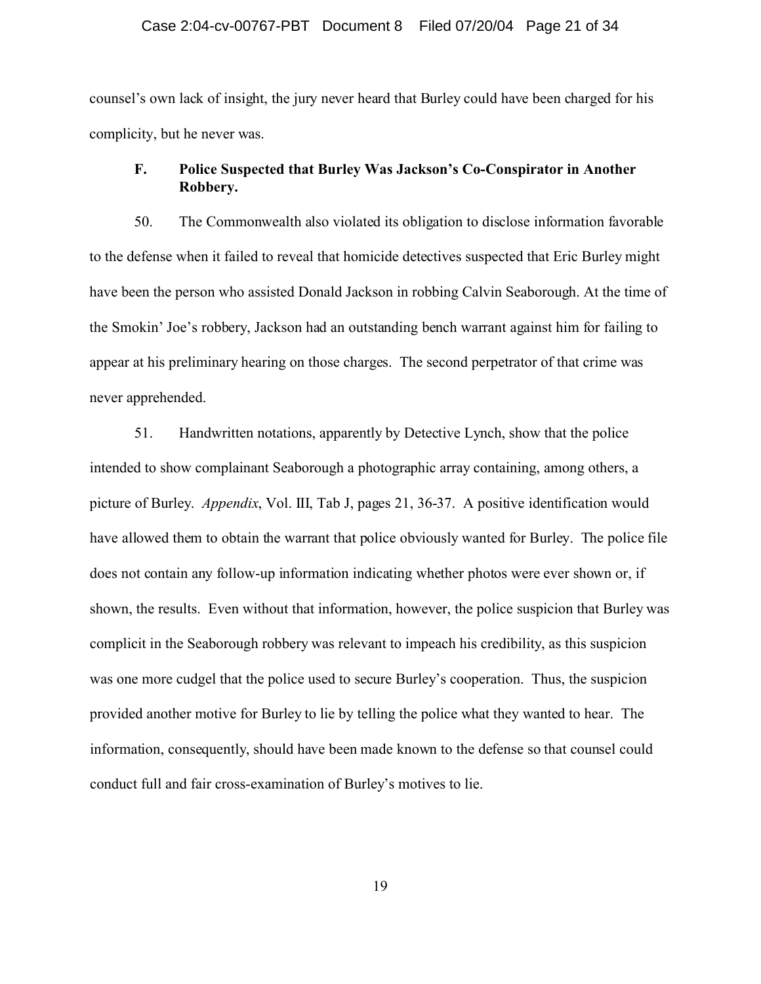### Case 2:04-cv-00767-PBT Document 8 Filed 07/20/04 Page 21 of 34

counsel's own lack of insight, the jury never heard that Burley could have been charged for his complicity, but he never was.

### **F. Police Suspected that Burley Was Jackson's Co-Conspirator in Another Robbery.**

50. The Commonwealth also violated its obligation to disclose information favorable to the defense when it failed to reveal that homicide detectives suspected that Eric Burley might have been the person who assisted Donald Jackson in robbing Calvin Seaborough. At the time of the Smokin' Joe's robbery, Jackson had an outstanding bench warrant against him for failing to appear at his preliminary hearing on those charges. The second perpetrator of that crime was never apprehended.

51. Handwritten notations, apparently by Detective Lynch, show that the police intended to show complainant Seaborough a photographic array containing, among others, a picture of Burley. *Appendix*, Vol. III, Tab J, pages 21, 36-37. A positive identification would have allowed them to obtain the warrant that police obviously wanted for Burley. The police file does not contain any follow-up information indicating whether photos were ever shown or, if shown, the results. Even without that information, however, the police suspicion that Burley was complicit in the Seaborough robbery was relevant to impeach his credibility, as this suspicion was one more cudgel that the police used to secure Burley's cooperation. Thus, the suspicion provided another motive for Burley to lie by telling the police what they wanted to hear. The information, consequently, should have been made known to the defense so that counsel could conduct full and fair cross-examination of Burley's motives to lie.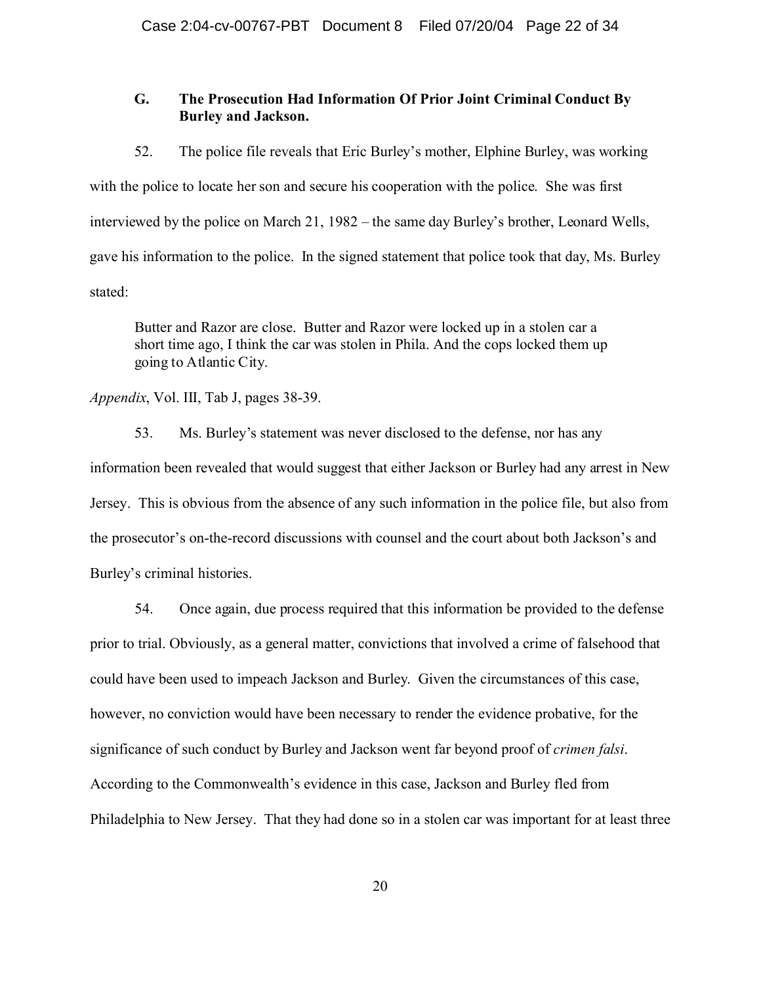### **G. The Prosecution Had Information Of Prior Joint Criminal Conduct By Burley and Jackson.**

52. The police file reveals that Eric Burley's mother, Elphine Burley, was working with the police to locate her son and secure his cooperation with the police. She was first interviewed by the police on March 21, 1982 – the same day Burley's brother, Leonard Wells, gave his information to the police. In the signed statement that police took that day, Ms. Burley stated:

Butter and Razor are close. Butter and Razor were locked up in a stolen car a short time ago, I think the car was stolen in Phila. And the cops locked them up going to Atlantic City.

### *Appendix*, Vol. III, Tab J, pages 38-39.

53. Ms. Burley's statement was never disclosed to the defense, nor has any information been revealed that would suggest that either Jackson or Burley had any arrest in New Jersey. This is obvious from the absence of any such information in the police file, but also from the prosecutor's on-the-record discussions with counsel and the court about both Jackson's and Burley's criminal histories.

54. Once again, due process required that this information be provided to the defense prior to trial. Obviously, as a general matter, convictions that involved a crime of falsehood that could have been used to impeach Jackson and Burley. Given the circumstances of this case, however, no conviction would have been necessary to render the evidence probative, for the significance of such conduct by Burley and Jackson went far beyond proof of *crimen falsi*. According to the Commonwealth's evidence in this case, Jackson and Burley fled from Philadelphia to New Jersey. That they had done so in a stolen car was important for at least three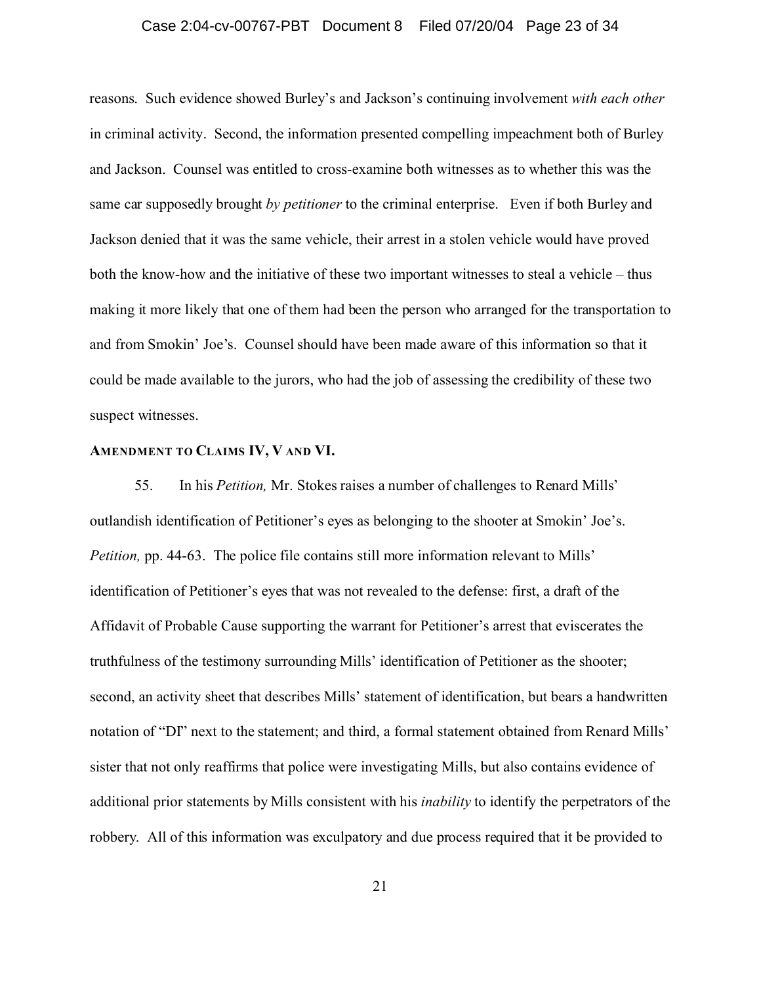### Case 2:04-cv-00767-PBT Document 8 Filed 07/20/04 Page 23 of 34

reasons. Such evidence showed Burley's and Jackson's continuing involvement *with each other* in criminal activity. Second, the information presented compelling impeachment both of Burley and Jackson. Counsel was entitled to cross-examine both witnesses as to whether this was the same car supposedly brought *by petitioner* to the criminal enterprise. Even if both Burley and Jackson denied that it was the same vehicle, their arrest in a stolen vehicle would have proved both the know-how and the initiative of these two important witnesses to steal a vehicle – thus making it more likely that one of them had been the person who arranged for the transportation to and from Smokin' Joe's. Counsel should have been made aware of this information so that it could be made available to the jurors, who had the job of assessing the credibility of these two suspect witnesses.

### **AMENDMENT TO CLAIMS IV, V AND VI.**

55. In his *Petition,* Mr. Stokes raises a number of challenges to Renard Mills' outlandish identification of Petitioner's eyes as belonging to the shooter at Smokin' Joe's. *Petition, pp.* 44-63. The police file contains still more information relevant to Mills' identification of Petitioner's eyes that was not revealed to the defense: first, a draft of the Affidavit of Probable Cause supporting the warrant for Petitioner's arrest that eviscerates the truthfulness of the testimony surrounding Mills' identification of Petitioner as the shooter; second, an activity sheet that describes Mills' statement of identification, but bears a handwritten notation of "DI" next to the statement; and third, a formal statement obtained from Renard Mills' sister that not only reaffirms that police were investigating Mills, but also contains evidence of additional prior statements by Mills consistent with his *inability* to identify the perpetrators of the robbery. All of this information was exculpatory and due process required that it be provided to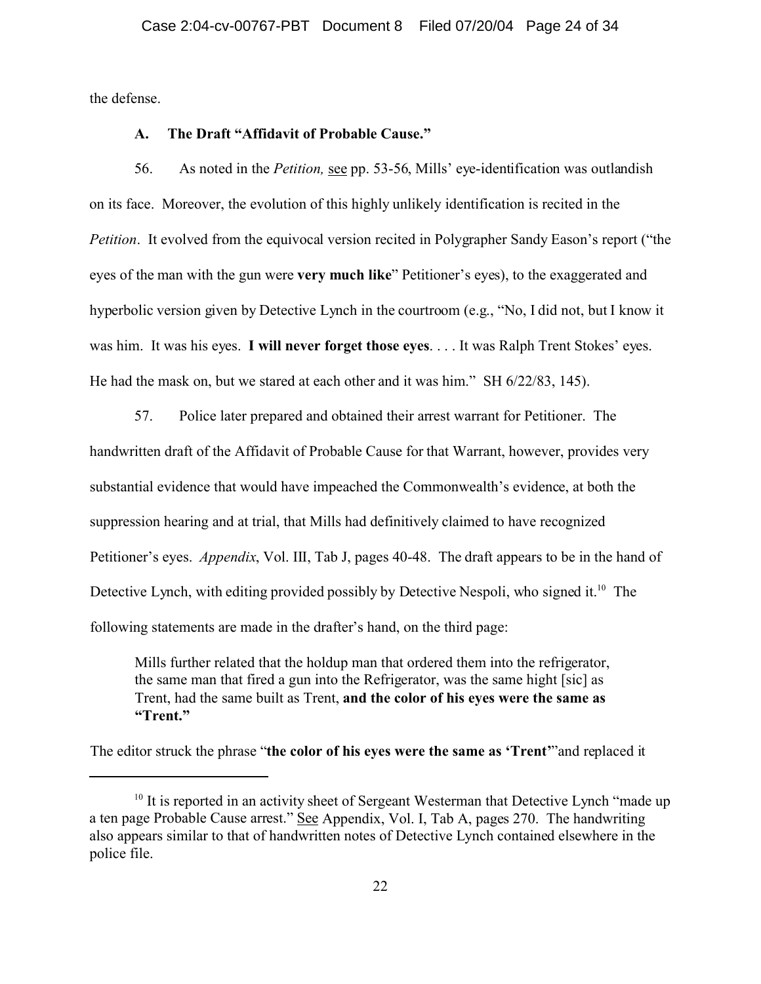the defense.

### **A. The Draft "Affidavit of Probable Cause."**

56. As noted in the *Petition,* see pp. 53-56, Mills' eye-identification was outlandish on its face. Moreover, the evolution of this highly unlikely identification is recited in the *Petition*. It evolved from the equivocal version recited in Polygrapher Sandy Eason's report ("the eyes of the man with the gun were **very much like**" Petitioner's eyes), to the exaggerated and hyperbolic version given by Detective Lynch in the courtroom (e.g., "No, I did not, but I know it was him. It was his eyes. **I will never forget those eyes**. . . . It was Ralph Trent Stokes' eyes. He had the mask on, but we stared at each other and it was him." SH 6/22/83, 145).

57. Police later prepared and obtained their arrest warrant for Petitioner. The handwritten draft of the Affidavit of Probable Cause for that Warrant, however, provides very substantial evidence that would have impeached the Commonwealth's evidence, at both the suppression hearing and at trial, that Mills had definitively claimed to have recognized Petitioner's eyes. *Appendix*, Vol. III, Tab J, pages 40-48. The draft appears to be in the hand of Detective Lynch, with editing provided possibly by Detective Nespoli, who signed it.<sup>10</sup> The following statements are made in the drafter's hand, on the third page:

Mills further related that the holdup man that ordered them into the refrigerator, the same man that fired a gun into the Refrigerator, was the same hight [sic] as Trent, had the same built as Trent, **and the color of his eyes were the same as "Trent."**

The editor struck the phrase "**the color of his eyes were the same as 'Trent'**"and replaced it

 $10$  It is reported in an activity sheet of Sergeant Westerman that Detective Lynch "made up a ten page Probable Cause arrest." See Appendix, Vol. I, Tab A, pages 270. The handwriting also appears similar to that of handwritten notes of Detective Lynch contained elsewhere in the police file.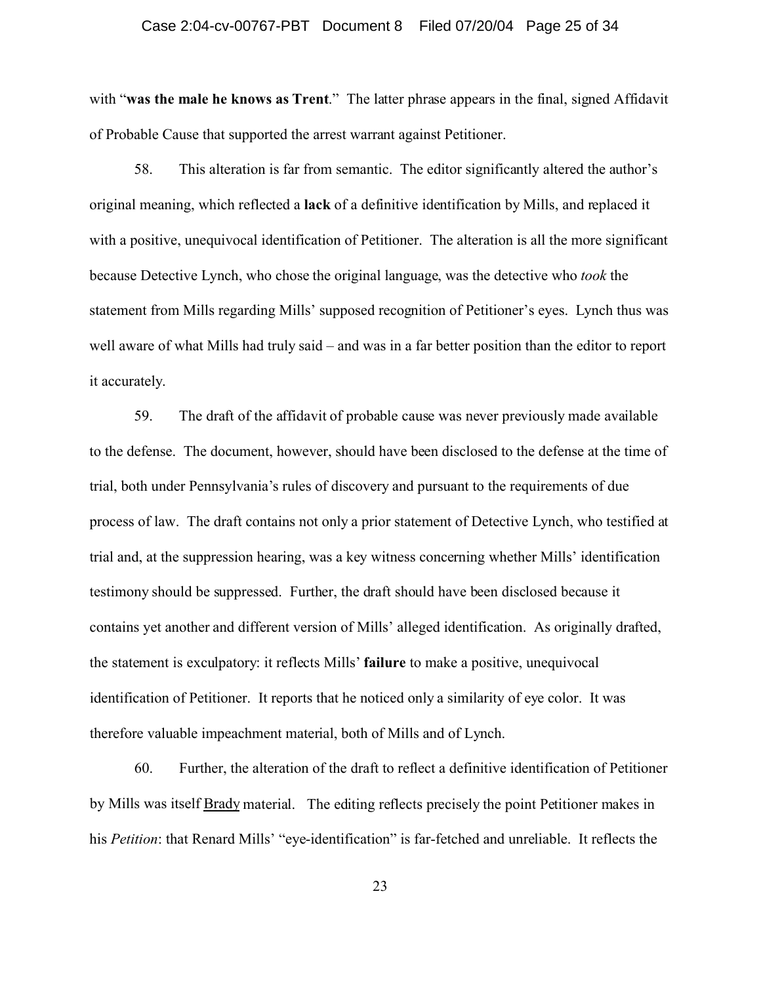### Case 2:04-cv-00767-PBT Document 8 Filed 07/20/04 Page 25 of 34

with "was the male he knows as Trent." The latter phrase appears in the final, signed Affidavit of Probable Cause that supported the arrest warrant against Petitioner.

58. This alteration is far from semantic. The editor significantly altered the author's original meaning, which reflected a **lack** of a definitive identification by Mills, and replaced it with a positive, unequivocal identification of Petitioner. The alteration is all the more significant because Detective Lynch, who chose the original language, was the detective who *took* the statement from Mills regarding Mills' supposed recognition of Petitioner's eyes. Lynch thus was well aware of what Mills had truly said – and was in a far better position than the editor to report it accurately.

59. The draft of the affidavit of probable cause was never previously made available to the defense. The document, however, should have been disclosed to the defense at the time of trial, both under Pennsylvania's rules of discovery and pursuant to the requirements of due process of law. The draft contains not only a prior statement of Detective Lynch, who testified at trial and, at the suppression hearing, was a key witness concerning whether Mills' identification testimony should be suppressed. Further, the draft should have been disclosed because it contains yet another and different version of Mills' alleged identification. As originally drafted, the statement is exculpatory: it reflects Mills' **failure** to make a positive, unequivocal identification of Petitioner. It reports that he noticed only a similarity of eye color. It was therefore valuable impeachment material, both of Mills and of Lynch.

60. Further, the alteration of the draft to reflect a definitive identification of Petitioner by Mills was itself **Brady** material. The editing reflects precisely the point Petitioner makes in his *Petition*: that Renard Mills' "eye-identification" is far-fetched and unreliable. It reflects the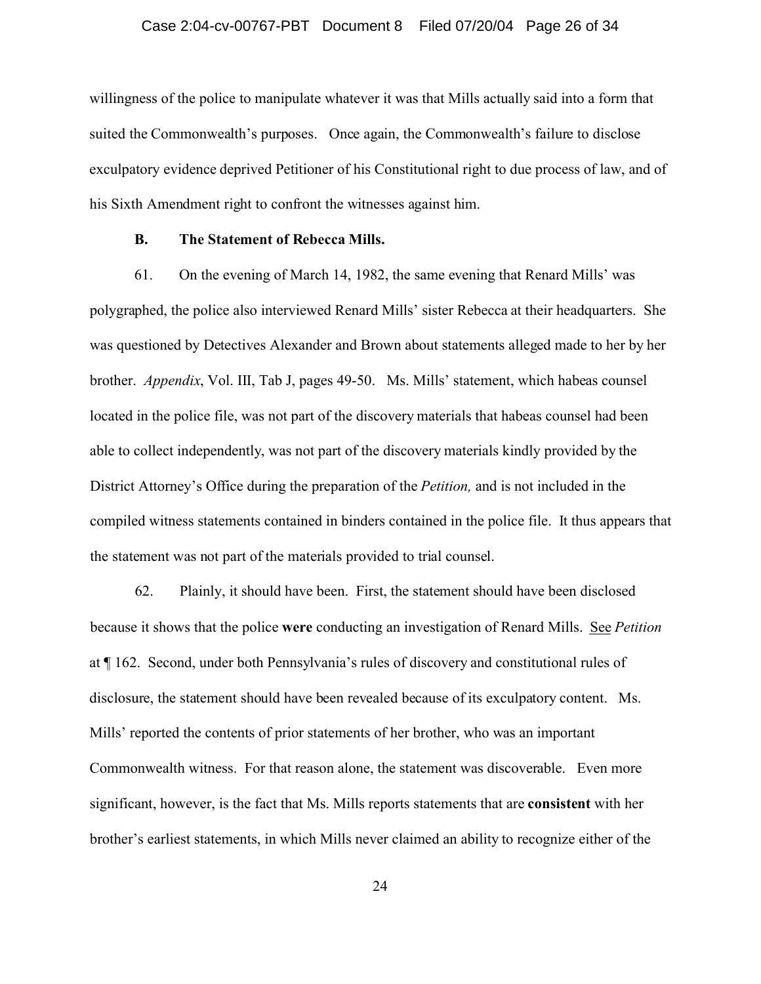### Case 2:04-cv-00767-PBT Document 8 Filed 07/20/04 Page 26 of 34

willingness of the police to manipulate whatever it was that Mills actually said into a form that suited the Commonwealth's purposes. Once again, the Commonwealth's failure to disclose exculpatory evidence deprived Petitioner of his Constitutional right to due process of law, and of his Sixth Amendment right to confront the witnesses against him.

#### **B. The Statement of Rebecca Mills.**

61. On the evening of March 14, 1982, the same evening that Renard Mills' was polygraphed, the police also interviewed Renard Mills' sister Rebecca at their headquarters. She was questioned by Detectives Alexander and Brown about statements alleged made to her by her brother. *Appendix*, Vol. III, Tab J, pages 49-50. Ms. Mills' statement, which habeas counsel located in the police file, was not part of the discovery materials that habeas counsel had been able to collect independently, was not part of the discovery materials kindly provided by the District Attorney's Office during the preparation of the *Petition,* and is not included in the compiled witness statements contained in binders contained in the police file. It thus appears that the statement was not part of the materials provided to trial counsel.

62. Plainly, it should have been. First, the statement should have been disclosed because it shows that the police **were** conducting an investigation of Renard Mills. See *Petition* at ¶ 162. Second, under both Pennsylvania's rules of discovery and constitutional rules of disclosure, the statement should have been revealed because of its exculpatory content. Ms. Mills' reported the contents of prior statements of her brother, who was an important Commonwealth witness. For that reason alone, the statement was discoverable. Even more significant, however, is the fact that Ms. Mills reports statements that are **consistent** with her brother's earliest statements, in which Mills never claimed an ability to recognize either of the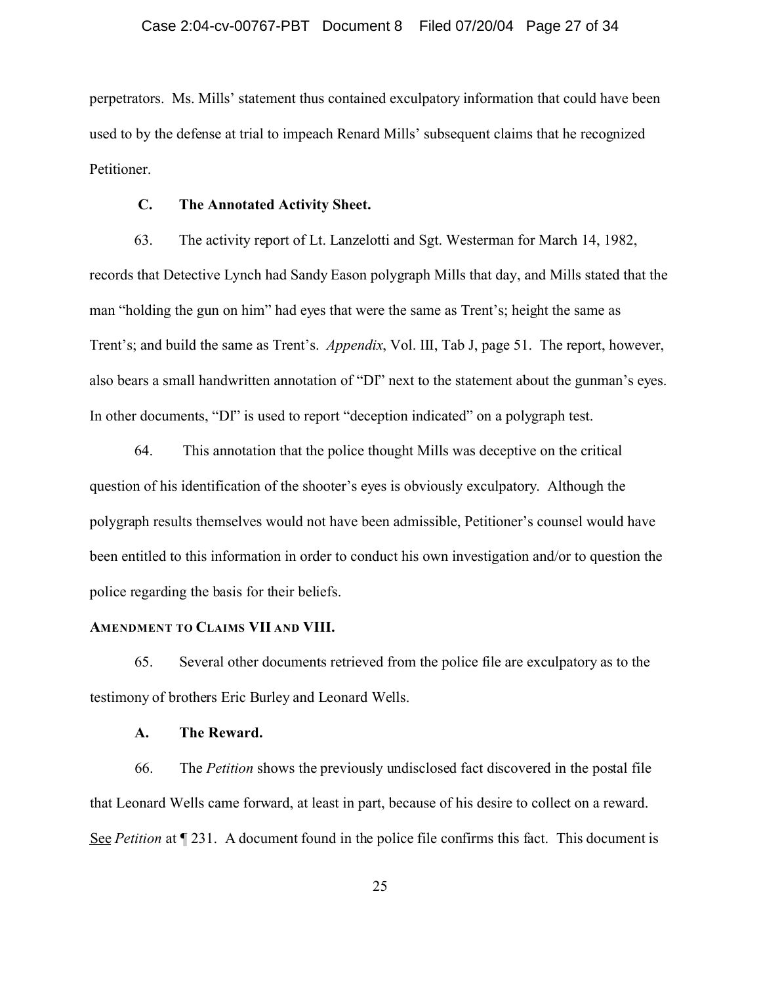perpetrators. Ms. Mills' statement thus contained exculpatory information that could have been used to by the defense at trial to impeach Renard Mills' subsequent claims that he recognized Petitioner.

### **C. The Annotated Activity Sheet.**

63. The activity report of Lt. Lanzelotti and Sgt. Westerman for March 14, 1982, records that Detective Lynch had Sandy Eason polygraph Mills that day, and Mills stated that the man "holding the gun on him" had eyes that were the same as Trent's; height the same as Trent's; and build the same as Trent's. *Appendix*, Vol. III, Tab J, page 51. The report, however, also bears a small handwritten annotation of "DI" next to the statement about the gunman's eyes. In other documents, "DI" is used to report "deception indicated" on a polygraph test.

64. This annotation that the police thought Mills was deceptive on the critical question of his identification of the shooter's eyes is obviously exculpatory. Although the polygraph results themselves would not have been admissible, Petitioner's counsel would have been entitled to this information in order to conduct his own investigation and/or to question the police regarding the basis for their beliefs.

### **AMENDMENT TO CLAIMS VII AND VIII.**

65. Several other documents retrieved from the police file are exculpatory as to the testimony of brothers Eric Burley and Leonard Wells.

### **A. The Reward.**

66. The *Petition* shows the previously undisclosed fact discovered in the postal file that Leonard Wells came forward, at least in part, because of his desire to collect on a reward. See *Petition* at  $\P$  231. A document found in the police file confirms this fact. This document is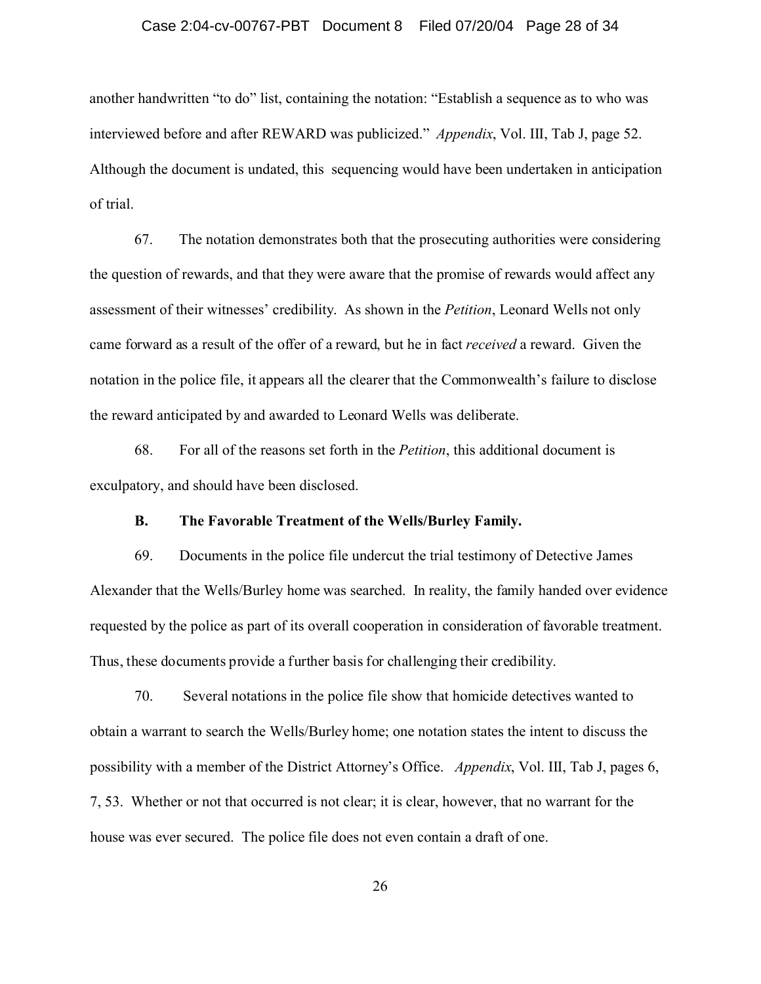### Case 2:04-cv-00767-PBT Document 8 Filed 07/20/04 Page 28 of 34

another handwritten "to do" list, containing the notation: "Establish a sequence as to who was interviewed before and after REWARD was publicized." *Appendix*, Vol. III, Tab J, page 52. Although the document is undated, this sequencing would have been undertaken in anticipation of trial.

67. The notation demonstrates both that the prosecuting authorities were considering the question of rewards, and that they were aware that the promise of rewards would affect any assessment of their witnesses' credibility. As shown in the *Petition*, Leonard Wells not only came forward as a result of the offer of a reward, but he in fact *received* a reward. Given the notation in the police file, it appears all the clearer that the Commonwealth's failure to disclose the reward anticipated by and awarded to Leonard Wells was deliberate.

68. For all of the reasons set forth in the *Petition*, this additional document is exculpatory, and should have been disclosed.

### **B. The Favorable Treatment of the Wells/Burley Family.**

69. Documents in the police file undercut the trial testimony of Detective James Alexander that the Wells/Burley home was searched. In reality, the family handed over evidence requested by the police as part of its overall cooperation in consideration of favorable treatment. Thus, these documents provide a further basis for challenging their credibility.

70. Several notations in the police file show that homicide detectives wanted to obtain a warrant to search the Wells/Burley home; one notation states the intent to discuss the possibility with a member of the District Attorney's Office. *Appendix*, Vol. III, Tab J, pages 6, 7, 53. Whether or not that occurred is not clear; it is clear, however, that no warrant for the house was ever secured. The police file does not even contain a draft of one.

26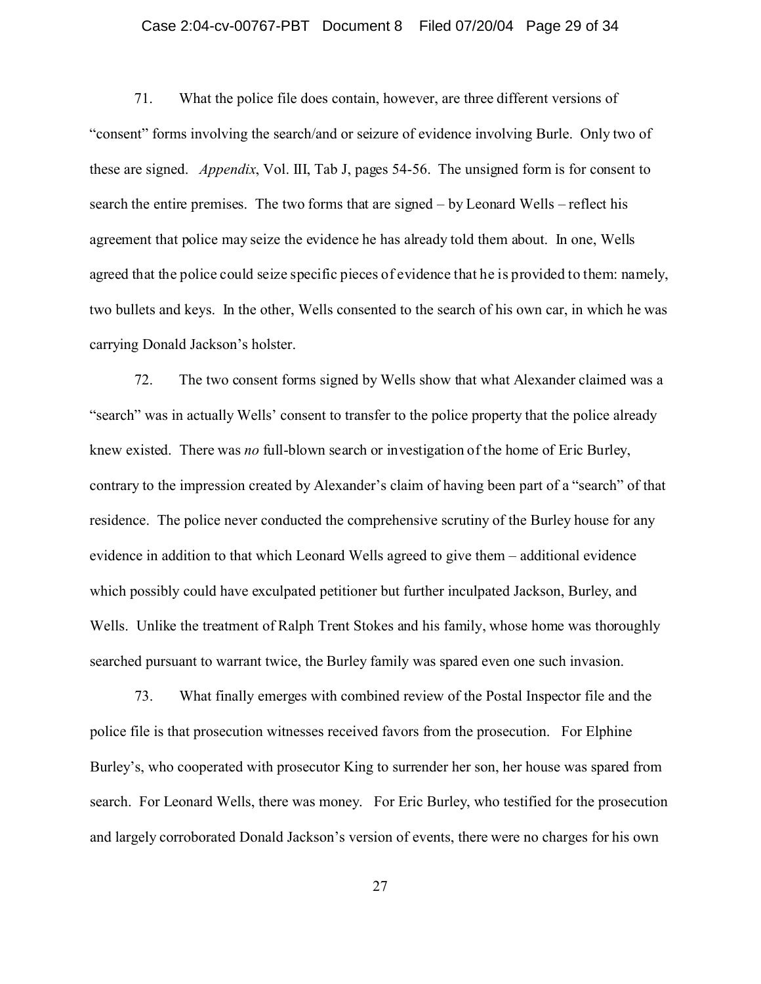### Case 2:04-cv-00767-PBT Document 8 Filed 07/20/04 Page 29 of 34

71. What the police file does contain, however, are three different versions of "consent" forms involving the search/and or seizure of evidence involving Burle. Only two of these are signed. *Appendix*, Vol. III, Tab J, pages 54-56. The unsigned form is for consent to search the entire premises. The two forms that are signed – by Leonard Wells – reflect his agreement that police may seize the evidence he has already told them about. In one, Wells agreed that the police could seize specific pieces of evidence that he is provided to them: namely, two bullets and keys. In the other, Wells consented to the search of his own car, in which he was carrying Donald Jackson's holster.

72. The two consent forms signed by Wells show that what Alexander claimed was a "search" was in actually Wells' consent to transfer to the police property that the police already knew existed. There was *no* full-blown search or investigation of the home of Eric Burley, contrary to the impression created by Alexander's claim of having been part of a "search" of that residence. The police never conducted the comprehensive scrutiny of the Burley house for any evidence in addition to that which Leonard Wells agreed to give them – additional evidence which possibly could have exculpated petitioner but further inculpated Jackson, Burley, and Wells. Unlike the treatment of Ralph Trent Stokes and his family, whose home was thoroughly searched pursuant to warrant twice, the Burley family was spared even one such invasion.

73. What finally emerges with combined review of the Postal Inspector file and the police file is that prosecution witnesses received favors from the prosecution. For Elphine Burley's, who cooperated with prosecutor King to surrender her son, her house was spared from search. For Leonard Wells, there was money. For Eric Burley, who testified for the prosecution and largely corroborated Donald Jackson's version of events, there were no charges for his own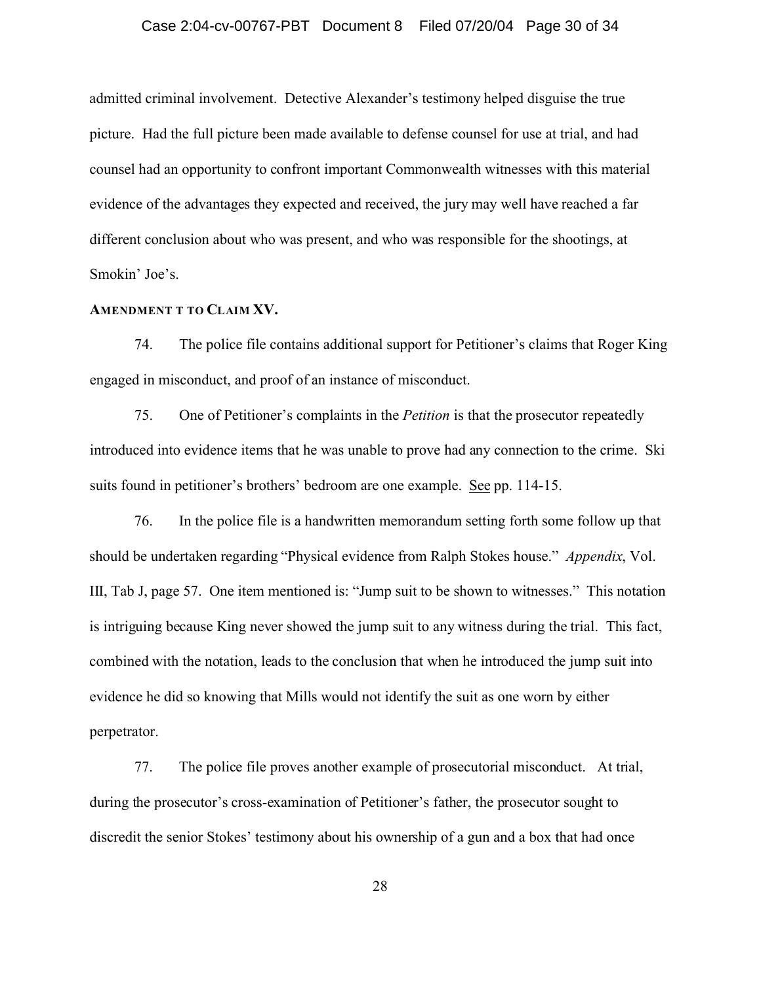### Case 2:04-cv-00767-PBT Document 8 Filed 07/20/04 Page 30 of 34

admitted criminal involvement. Detective Alexander's testimony helped disguise the true picture. Had the full picture been made available to defense counsel for use at trial, and had counsel had an opportunity to confront important Commonwealth witnesses with this material evidence of the advantages they expected and received, the jury may well have reached a far different conclusion about who was present, and who was responsible for the shootings, at Smokin' Joe's.

### **AMENDMENT T TO CLAIM XV.**

74. The police file contains additional support for Petitioner's claims that Roger King engaged in misconduct, and proof of an instance of misconduct.

75. One of Petitioner's complaints in the *Petition* is that the prosecutor repeatedly introduced into evidence items that he was unable to prove had any connection to the crime. Ski suits found in petitioner's brothers' bedroom are one example. See pp. 114-15.

76. In the police file is a handwritten memorandum setting forth some follow up that should be undertaken regarding "Physical evidence from Ralph Stokes house." *Appendix*, Vol. III, Tab J, page 57. One item mentioned is: "Jump suit to be shown to witnesses." This notation is intriguing because King never showed the jump suit to any witness during the trial. This fact, combined with the notation, leads to the conclusion that when he introduced the jump suit into evidence he did so knowing that Mills would not identify the suit as one worn by either perpetrator.

77. The police file proves another example of prosecutorial misconduct. At trial, during the prosecutor's cross-examination of Petitioner's father, the prosecutor sought to discredit the senior Stokes' testimony about his ownership of a gun and a box that had once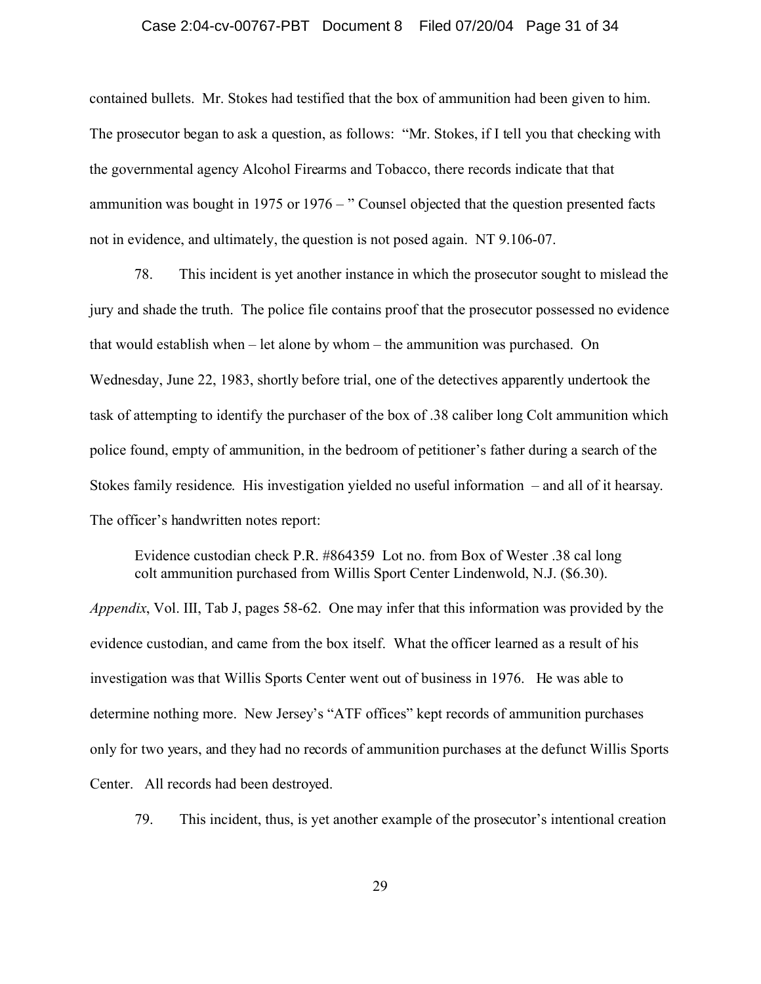### Case 2:04-cv-00767-PBT Document 8 Filed 07/20/04 Page 31 of 34

contained bullets. Mr. Stokes had testified that the box of ammunition had been given to him. The prosecutor began to ask a question, as follows: "Mr. Stokes, if I tell you that checking with the governmental agency Alcohol Firearms and Tobacco, there records indicate that that ammunition was bought in 1975 or 1976 – " Counsel objected that the question presented facts not in evidence, and ultimately, the question is not posed again. NT 9.106-07.

78. This incident is yet another instance in which the prosecutor sought to mislead the jury and shade the truth. The police file contains proof that the prosecutor possessed no evidence that would establish when – let alone by whom – the ammunition was purchased. On Wednesday, June 22, 1983, shortly before trial, one of the detectives apparently undertook the task of attempting to identify the purchaser of the box of .38 caliber long Colt ammunition which police found, empty of ammunition, in the bedroom of petitioner's father during a search of the Stokes family residence. His investigation yielded no useful information – and all of it hearsay. The officer's handwritten notes report:

Evidence custodian check P.R. #864359 Lot no. from Box of Wester .38 cal long colt ammunition purchased from Willis Sport Center Lindenwold, N.J. (\$6.30).

*Appendix*, Vol. III, Tab J, pages 58-62. One may infer that this information was provided by the evidence custodian, and came from the box itself. What the officer learned as a result of his investigation was that Willis Sports Center went out of business in 1976. He was able to determine nothing more. New Jersey's "ATF offices" kept records of ammunition purchases only for two years, and they had no records of ammunition purchases at the defunct Willis Sports Center. All records had been destroyed.

79. This incident, thus, is yet another example of the prosecutor's intentional creation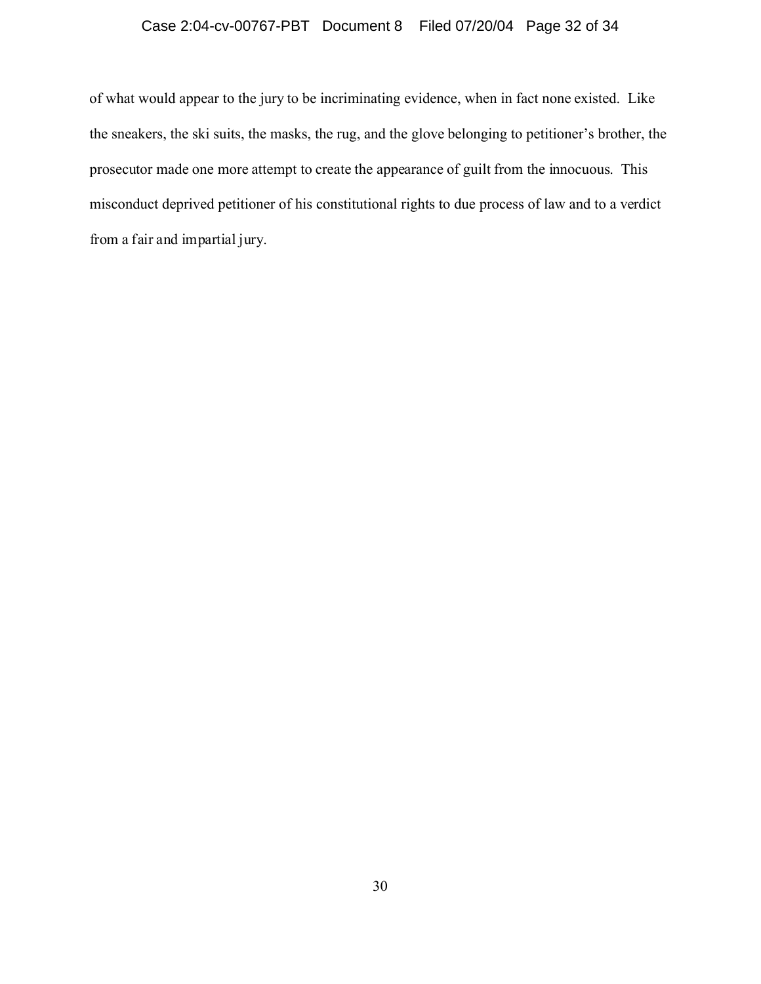## Case 2:04-cv-00767-PBT Document 8 Filed 07/20/04 Page 32 of 34

of what would appear to the jury to be incriminating evidence, when in fact none existed. Like the sneakers, the ski suits, the masks, the rug, and the glove belonging to petitioner's brother, the prosecutor made one more attempt to create the appearance of guilt from the innocuous. This misconduct deprived petitioner of his constitutional rights to due process of law and to a verdict from a fair and impartial jury.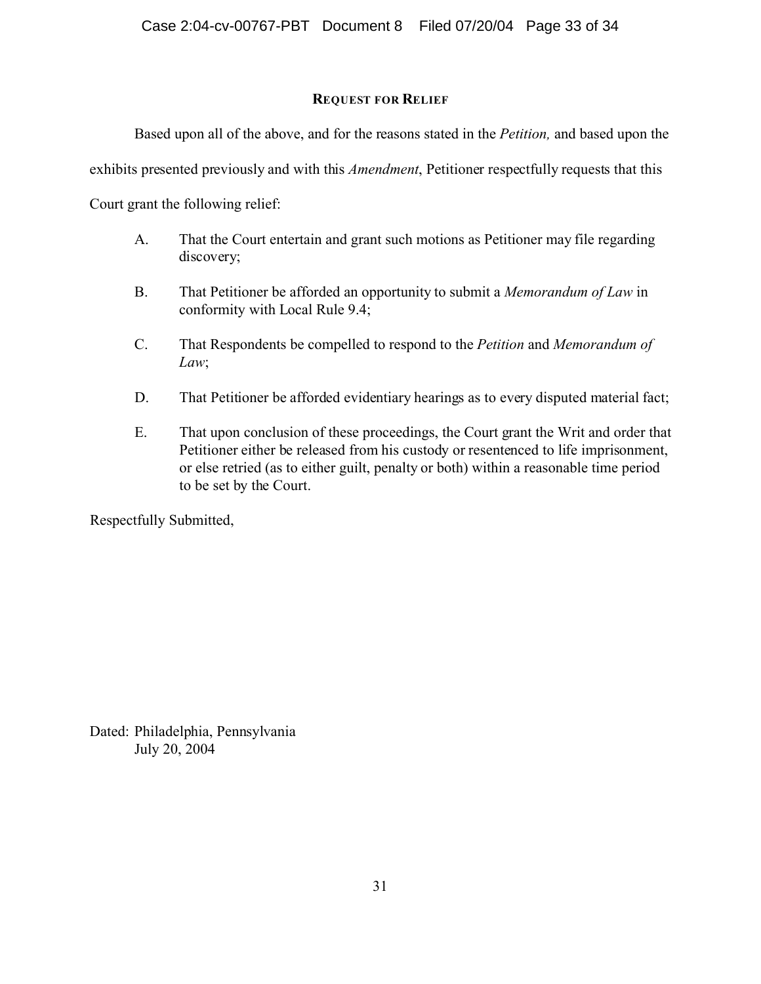# **REQUEST FOR RELIEF**

Based upon all of the above, and for the reasons stated in the *Petition,* and based upon the

exhibits presented previously and with this *Amendment*, Petitioner respectfully requests that this

Court grant the following relief:

- A. That the Court entertain and grant such motions as Petitioner may file regarding discovery;
- B. That Petitioner be afforded an opportunity to submit a *Memorandum of Law* in conformity with Local Rule 9.4;
- C. That Respondents be compelled to respond to the *Petition* and *Memorandum of Law*;
- D. That Petitioner be afforded evidentiary hearings as to every disputed material fact;
- E. That upon conclusion of these proceedings, the Court grant the Writ and order that Petitioner either be released from his custody or resentenced to life imprisonment, or else retried (as to either guilt, penalty or both) within a reasonable time period to be set by the Court.

Respectfully Submitted,

Dated: Philadelphia, Pennsylvania July 20, 2004